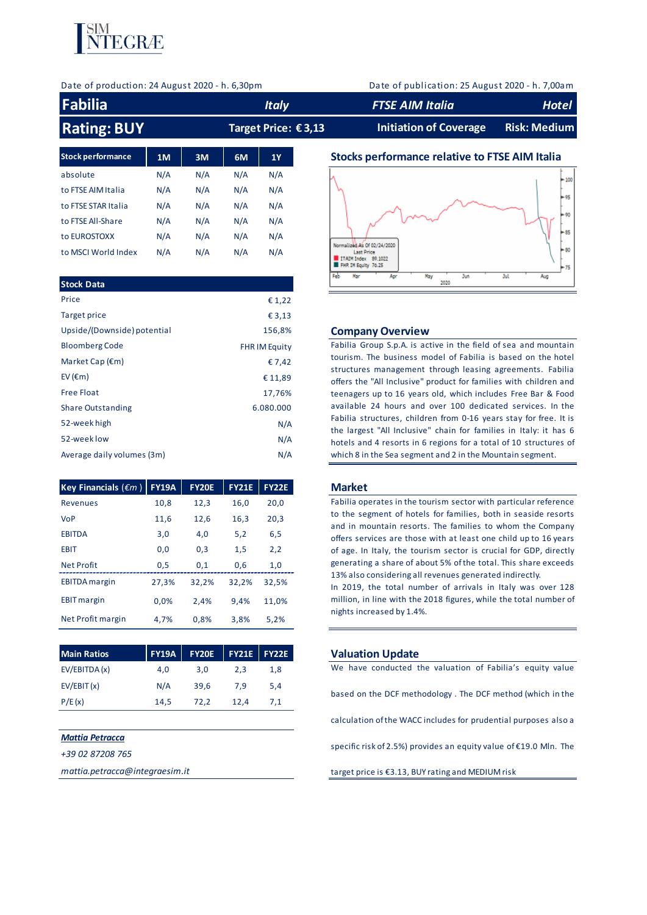

Date of production: 24 August 2020 - h. 6,30pm Date of publication: 25 August 2020 - h. 7,00am

| Fabilia            | <b>Italy</b>        | <b>FTSE AIM Italia</b> | Hotel        |
|--------------------|---------------------|------------------------|--------------|
| <b>Rating: BUY</b> | Target Price: €3,13 | Initiation of Coverage | Risk: Medium |

| <b>Stock performance</b> | 1M  | 3M  | 6M  | 1Y  |
|--------------------------|-----|-----|-----|-----|
| absolute                 | N/A | N/A | N/A | N/A |
| to FTSE AIM Italia       | N/A | N/A | N/A | N/A |
| to FTSE STAR Italia      | N/A | N/A | N/A | N/A |
| to FTSE All-Share        | N/A | N/A | N/A | N/A |
| to EUROSTOXX             | N/A | N/A | N/A | N/A |
| to MSCI World Index      | N/A | N/A | N/A | N/A |

| Price<br>€ 1,22<br>Target price<br>€ 3,13<br>Upside/(Downside) potential<br>156,8%<br><b>Company Overview</b><br>Fabilia Group S.p.A. is active in the field of sea and mountain<br><b>Bloomberg Code</b><br><b>FHR IM Equity</b><br>tourism. The business model of Fabilia is based on the hotel<br>Market Cap $(\epsilon m)$<br>€ 7,42<br>structures management through leasing agreements. Fabilia |  |
|-------------------------------------------------------------------------------------------------------------------------------------------------------------------------------------------------------------------------------------------------------------------------------------------------------------------------------------------------------------------------------------------------------|--|
|                                                                                                                                                                                                                                                                                                                                                                                                       |  |
|                                                                                                                                                                                                                                                                                                                                                                                                       |  |
|                                                                                                                                                                                                                                                                                                                                                                                                       |  |
|                                                                                                                                                                                                                                                                                                                                                                                                       |  |
|                                                                                                                                                                                                                                                                                                                                                                                                       |  |
| EV ( $\epsilon$ m)<br>€ 11,89<br>offers the "All Inclusive" product for families with children and                                                                                                                                                                                                                                                                                                    |  |
| <b>Free Float</b><br>17,76%<br>teenagers up to 16 years old, which includes Free Bar & Food                                                                                                                                                                                                                                                                                                           |  |
| available 24 hours and over 100 dedicated services. In the<br>6.080.000<br><b>Share Outstanding</b>                                                                                                                                                                                                                                                                                                   |  |
| Fabilia structures, children from 0-16 years stay for free. It is<br>52-week high<br>N/A<br>the largest "All Inclusive" chain for families in Italy: it has 6                                                                                                                                                                                                                                         |  |
| 52-week low<br>N/A<br>hotels and 4 resorts in 6 regions for a total of 10 structures of                                                                                                                                                                                                                                                                                                               |  |
| N/A<br>Average daily volumes (3m)<br>which 8 in the Sea segment and 2 in the Mountain segment.                                                                                                                                                                                                                                                                                                        |  |

| Key Financials ( $\epsilon$ m) | <b>FY19A</b> | <b>FY20E</b> | <b>FY21E</b> | <b>FY22E</b> |
|--------------------------------|--------------|--------------|--------------|--------------|
| <b>Revenues</b>                | 10,8         | 12,3         | 16,0         | 20.0         |
| <b>VoP</b>                     | 11.6         | 12.6         | 16,3         | 20,3         |
| <b>EBITDA</b>                  | 3.0          | 4.0          | 5,2          | 6.5          |
| <b>FRIT</b>                    | 0.0          | 0.3          | 1,5          | 2,2          |
| <b>Net Profit</b>              | 0.5          | 0.1          | 0.6          | 1.0          |
| <b>EBITDA</b> margin           | 27,3%        | 32.2%        | 32.2%        | 32.5%        |
| <b>EBIT</b> margin             | 0.0%         | 2.4%         | 9.4%         | 11,0%        |
| Net Profit margin              | 4.7%         | 0.8%         | 3.8%         | 5.2%         |

| <b>Main Ratios</b> |      | $FY19A$ FY20E FY21E FY22E |      |     |
|--------------------|------|---------------------------|------|-----|
| EV/EBITDA (x)      | 4.0  | 3.0                       | 2.3  | 1.8 |
| EV/EBIT(x)         | N/A  | 39.6                      | 7.9  | 5.4 |
| P/E(x)             | 14.5 | 72.2                      | 12.4 | 7,1 |

# *Mattia Petracca*

*+39 02 87208 765*

*mattia.petracca@integraesim.it*

# **Stocks performance relative to FTSE AIM Italia**



### **Company Overview**

#### **FY19A FY20E FY21E FY22E Market**

Market<br>Fabilia operates in the tourism sector with particular reference<br>to the segment of hotels for families, both in seaside resorts **Market**<br>Fabilia operates in the tourism sector with particular reference<br>to the segment of hotels for families, both in seaside resorts<br>and in mountain resorts. The families to whom the Company **Market**<br>Fabilia operates in the tourism sector with particular reference<br>to the segment of hotels for families, both in seaside resorts<br>and in mountain resorts. The families to whom the Company<br>offers services are those w Fabilia operates in the tourism sector with particular reference<br>to the segment of hotels for families, both in seaside resorts<br>and in mountain resorts. The families to whom the Company<br>offers services are those with at le to the segment of hotels for families, both in seaside resorts<br>and in mountain resorts. The families to whom the Company<br>offers services are those with at least one child up to 16 years<br>of age. In Italy, the tourism sector and in mountain resorts. The families to whom the Company<br>offers services are those with at least one child up to 16 years<br>of age. In Italy, the tourism sector is crucial for GDP, directly<br>generating a share of about 5% of 13% also considering all revenues generated indirectly. of age. In Italy, the tourism sector is crucial for GDP, directly generating a share of about 5% of the total. This share exceeds 13% also considering all revenues generated indirectly.<br>In 2019, the total number of arrival

generating a share of about 5% of the total. This share exceeds<br>13% also considering all revenues generated indirectly.<br>In 2019, the total number of arrivals in Italy was over 128<br>million, in line with the 2018 figures, wh nights increased by 1.4%.

#### **Main Ration Update**

based on the DCF methodology . The DCF method (which in the<br>calculation of the WACC includes for prudential purposes also a calculation of the WACC includes for prudential purposes also a<br>specific risk of 2.5%) provides an equity value of  $\epsilon$ 19.0 Mln. The

target price is €3.13, BUY rating and MEDIUM risk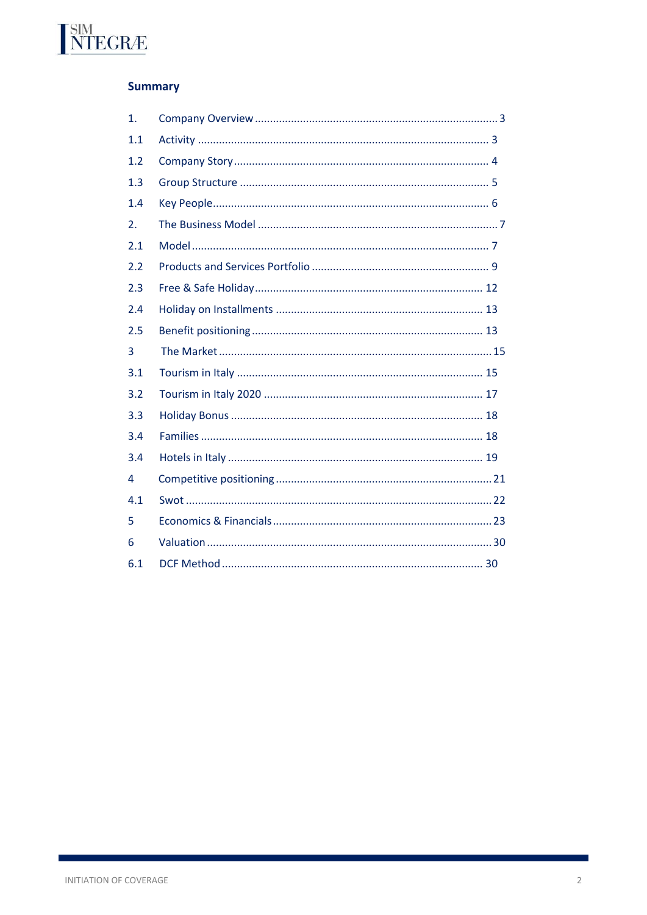# **Summary**

**INTEGRÆ** 

| 1.  |  |
|-----|--|
| 1.1 |  |
| 1.2 |  |
| 1.3 |  |
| 1.4 |  |
| 2.  |  |
| 2.1 |  |
| 2.2 |  |
| 2.3 |  |
| 2.4 |  |
| 2.5 |  |
| 3   |  |
| 3.1 |  |
| 3.2 |  |
| 3.3 |  |
| 3.4 |  |
| 3.4 |  |
| 4   |  |
| 4.1 |  |
| 5   |  |
| 6   |  |
| 6.1 |  |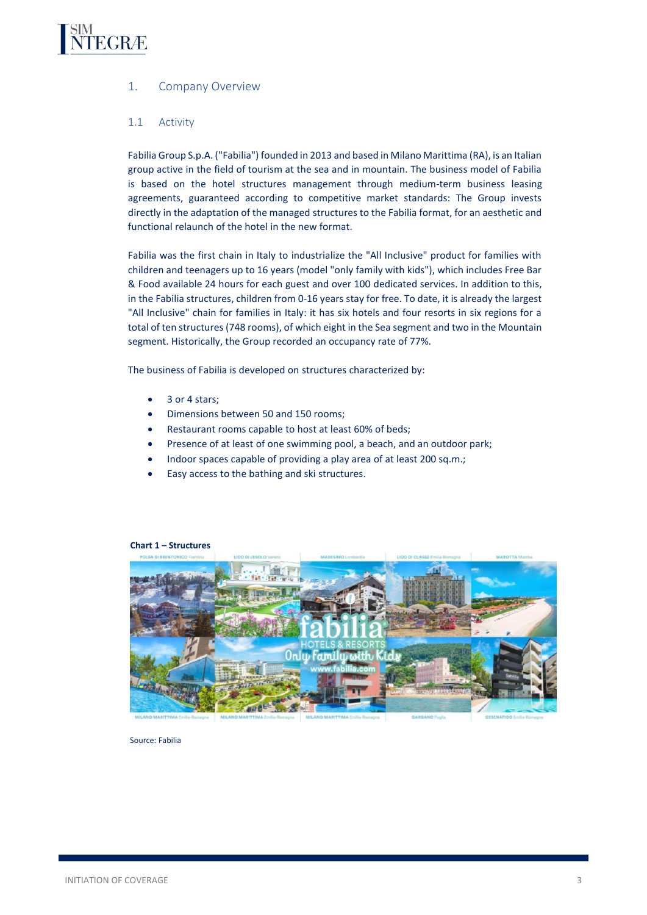<span id="page-2-0"></span>

# 1. Company Overview

# <span id="page-2-1"></span>1.1 Activity

Fabilia Group S.p.A. ("Fabilia") founded in 2013 and based in Milano Marittima (RA), is an Italian group active in the field of tourism at the sea and in mountain. The business model of Fabilia is based on the hotel structures management through medium-term business leasing agreements, guaranteed according to competitive market standards: The Group invests directly in the adaptation of the managed structures to the Fabilia format, for an aesthetic and functional relaunch of the hotel in the new format.

Fabilia was the first chain in Italy to industrialize the "All Inclusive" product for families with children and teenagers up to 16 years (model "only family with kids"), which includes Free Bar & Food available 24 hours for each guest and over 100 dedicated services. In addition to this, in the Fabilia structures, children from 0-16 years stay for free. To date, it is already the largest "All Inclusive" chain for families in Italy: it has six hotels and four resorts in six regions for a total of ten structures (748 rooms), of which eight in the Sea segment and two in the Mountain segment. Historically, the Group recorded an occupancy rate of 77%.

The business of Fabilia is developed on structures characterized by:

- 3 or 4 stars:
- Dimensions between 50 and 150 rooms;
- Restaurant rooms capable to host at least 60% of beds;
- Presence of at least of one swimming pool, a beach, and an outdoor park;
- Indoor spaces capable of providing a play area of at least 200 sq.m.;
- Easy access to the bathing and ski structures.



#### **Chart 1 – Structures**

Source: Fabilia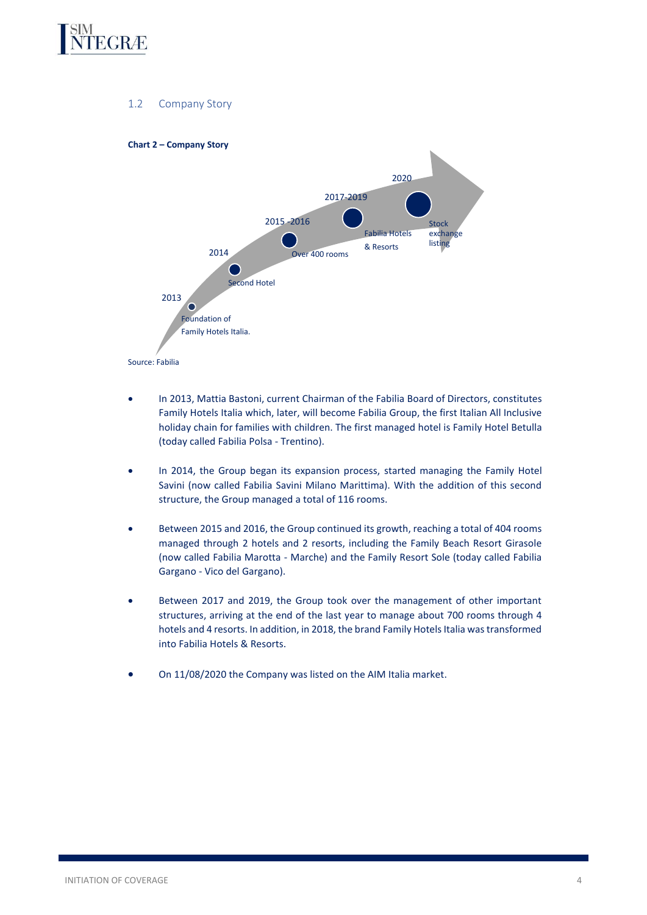

# 1.2 Company Story

<span id="page-3-0"></span>

- In 2013, Mattia Bastoni, current Chairman of the Fabilia Board of Directors, constitutes Family Hotels Italia which, later, will become Fabilia Group, the first Italian All Inclusive holiday chain for families with children. The first managed hotel is Family Hotel Betulla (today called Fabilia Polsa - Trentino).
- In 2014, the Group began its expansion process, started managing the Family Hotel Savini (now called Fabilia Savini Milano Marittima). With the addition of this second structure, the Group managed a total of 116 rooms.
- Between 2015 and 2016, the Group continued its growth, reaching a total of 404 rooms managed through 2 hotels and 2 resorts, including the Family Beach Resort Girasole (now called Fabilia Marotta - Marche) and the Family Resort Sole (today called Fabilia Gargano - Vico del Gargano).
- Between 2017 and 2019, the Group took over the management of other important structures, arriving at the end of the last year to manage about 700 rooms through 4 hotels and 4 resorts. In addition, in 2018, the brand Family Hotels Italia was transformed into Fabilia Hotels & Resorts.
- On 11/08/2020 the Company was listed on the AIM Italia market.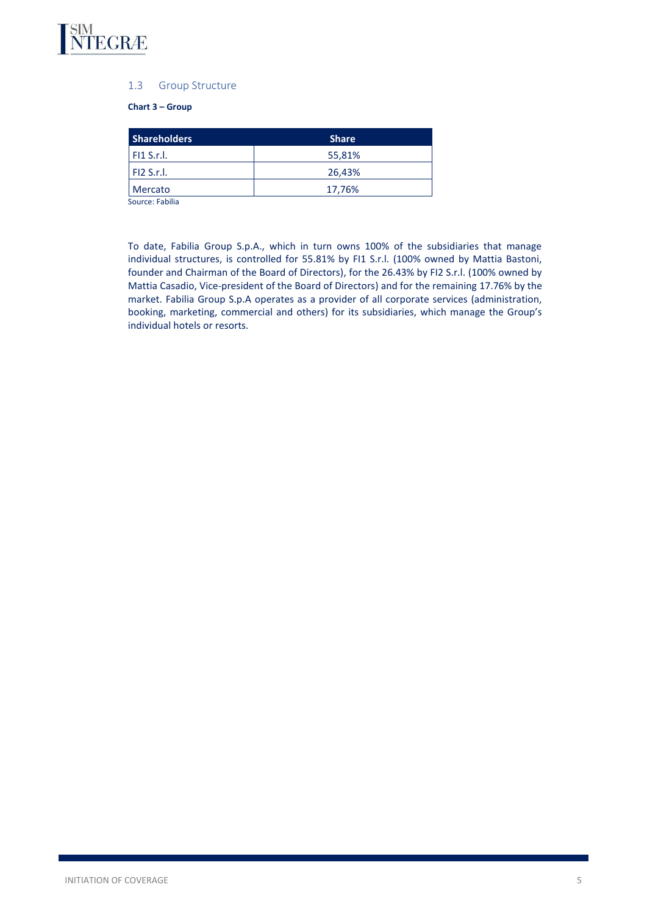<span id="page-4-0"></span>

# 1.3 Group Structure

# **Chart 3 – Group**

| <b>Shareholders</b> | <b>Share</b> |
|---------------------|--------------|
| $F11$ S.r.l.        | 55,81%       |
| F12 S.r.l.          | 26,43%       |
| <b>Mercato</b>      | 17,76%       |
| Course: Eabilia     |              |

Source: Fabilia

To date, Fabilia Group S.p.A., which in turn owns 100% of the subsidiaries that manage individual structures, is controlled for 55.81% by FI1 S.r.l. (100% owned by Mattia Bastoni, founder and Chairman of the Board of Directors), for the 26.43% by FI2 S.r.l. (100% owned by Mattia Casadio, Vice-president of the Board of Directors) and for the remaining 17.76% by the market. Fabilia Group S.p.A operates as a provider of all corporate services (administration, booking, marketing, commercial and others) for its subsidiaries, which manage the Group's individual hotels or resorts.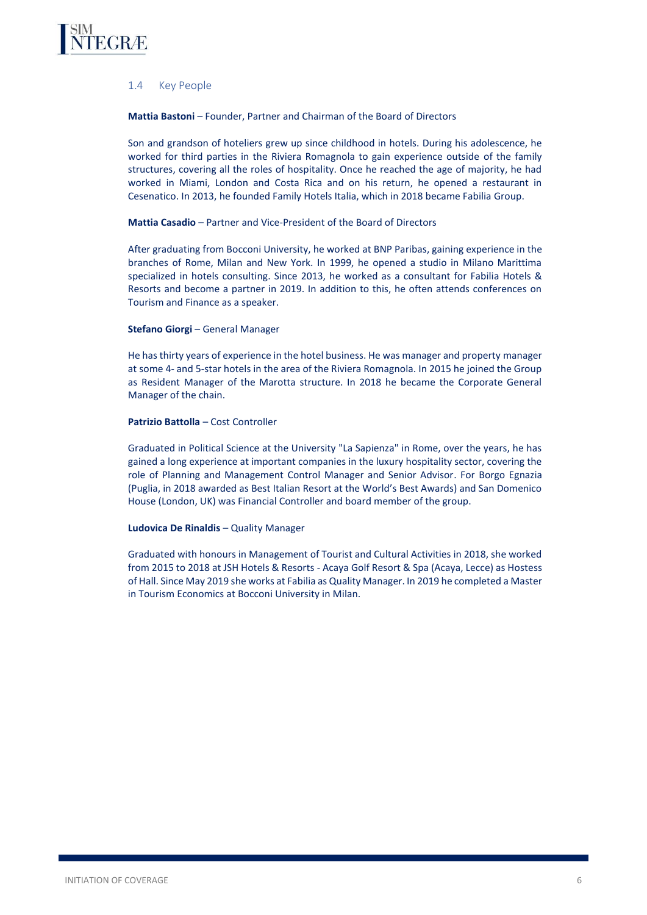<span id="page-5-0"></span>

# 1.4 Key People

**Mattia Bastoni** – Founder, Partner and Chairman of the Board of Directors

Son and grandson of hoteliers grew up since childhood in hotels. During his adolescence, he worked for third parties in the Riviera Romagnola to gain experience outside of the family structures, covering all the roles of hospitality. Once he reached the age of majority, he had worked in Miami, London and Costa Rica and on his return, he opened a restaurant in Cesenatico. In 2013, he founded Family Hotels Italia, which in 2018 became Fabilia Group.

# **Mattia Casadio** – Partner and Vice-President of the Board of Directors

After graduating from Bocconi University, he worked at BNP Paribas, gaining experience in the branches of Rome, Milan and New York. In 1999, he opened a studio in Milano Marittima specialized in hotels consulting. Since 2013, he worked as a consultant for Fabilia Hotels & Resorts and become a partner in 2019. In addition to this, he often attends conferences on Tourism and Finance as a speaker.

#### **Stefano Giorgi - General Manager**

He has thirty years of experience in the hotel business. He was manager and property manager at some 4- and 5-star hotels in the area of the Riviera Romagnola. In 2015 he joined the Group as Resident Manager of the Marotta structure. In 2018 he became the Corporate General Manager of the chain.

### **Patrizio Battolla** – Cost Controller

Graduated in Political Science at the University "La Sapienza" in Rome, over the years, he has gained a long experience at important companies in the luxury hospitality sector, covering the role of Planning and Management Control Manager and Senior Advisor. For Borgo Egnazia (Puglia, in 2018 awarded as Best Italian Resort at the World's Best Awards) and San Domenico House (London, UK) was Financial Controller and board member of the group.

#### **Ludovica De Rinaldis** – Quality Manager

Graduated with honours in Management of Tourist and Cultural Activities in 2018, she worked from 2015 to 2018 at JSH Hotels & Resorts - Acaya Golf Resort & Spa (Acaya, Lecce) as Hostess of Hall. Since May 2019 she works at Fabilia as Quality Manager. In 2019 he completed a Master in Tourism Economics at Bocconi University in Milan.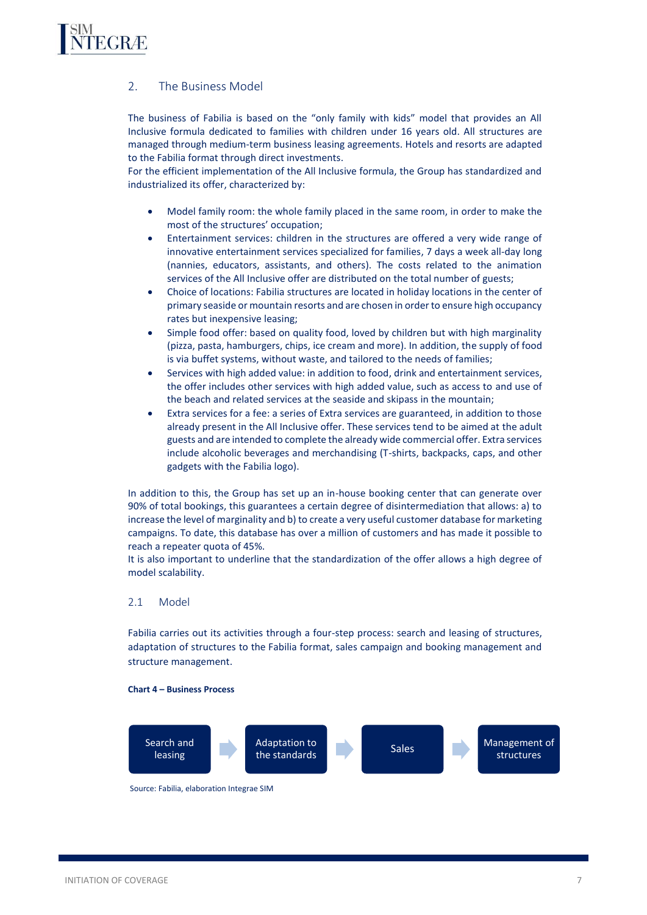<span id="page-6-0"></span>

# 2. The Business Model

The business of Fabilia is based on the "only family with kids" model that provides an All Inclusive formula dedicated to families with children under 16 years old. All structures are managed through medium-term business leasing agreements. Hotels and resorts are adapted to the Fabilia format through direct investments.

For the efficient implementation of the All Inclusive formula, the Group has standardized and industrialized its offer, characterized by:

- Model family room: the whole family placed in the same room, in order to make the most of the structures' occupation;
- Entertainment services: children in the structures are offered a very wide range of innovative entertainment services specialized for families, 7 days a week all-day long (nannies, educators, assistants, and others). The costs related to the animation services of the All Inclusive offer are distributed on the total number of guests;
- Choice of locations: Fabilia structures are located in holiday locations in the center of primary seaside or mountain resorts and are chosen in order to ensure high occupancy rates but inexpensive leasing;
- Simple food offer: based on quality food, loved by children but with high marginality (pizza, pasta, hamburgers, chips, ice cream and more). In addition, the supply of food is via buffet systems, without waste, and tailored to the needs of families;
- Services with high added value: in addition to food, drink and entertainment services, the offer includes other services with high added value, such as access to and use of the beach and related services at the seaside and skipass in the mountain;
- Extra services for a fee: a series of Extra services are guaranteed, in addition to those already present in the All Inclusive offer. These services tend to be aimed at the adult guests and are intended to complete the already wide commercial offer. Extra services include alcoholic beverages and merchandising (T-shirts, backpacks, caps, and other gadgets with the Fabilia logo).

In addition to this, the Group has set up an in-house booking center that can generate over 90% of total bookings, this guarantees a certain degree of disintermediation that allows: a) to increase the level of marginality and b) to create a very useful customer database for marketing campaigns. To date, this database has over a million of customers and has made it possible to reach a repeater quota of 45%.

It is also important to underline that the standardization of the offer allows a high degree of model scalability.

# <span id="page-6-1"></span>2.1 Model

Fabilia carries out its activities through a four-step process: search and leasing of structures, adaptation of structures to the Fabilia format, sales campaign and booking management and structure management.

#### **Chart 4 – Business Process**



Source: Fabilia, elaboration Integrae SIM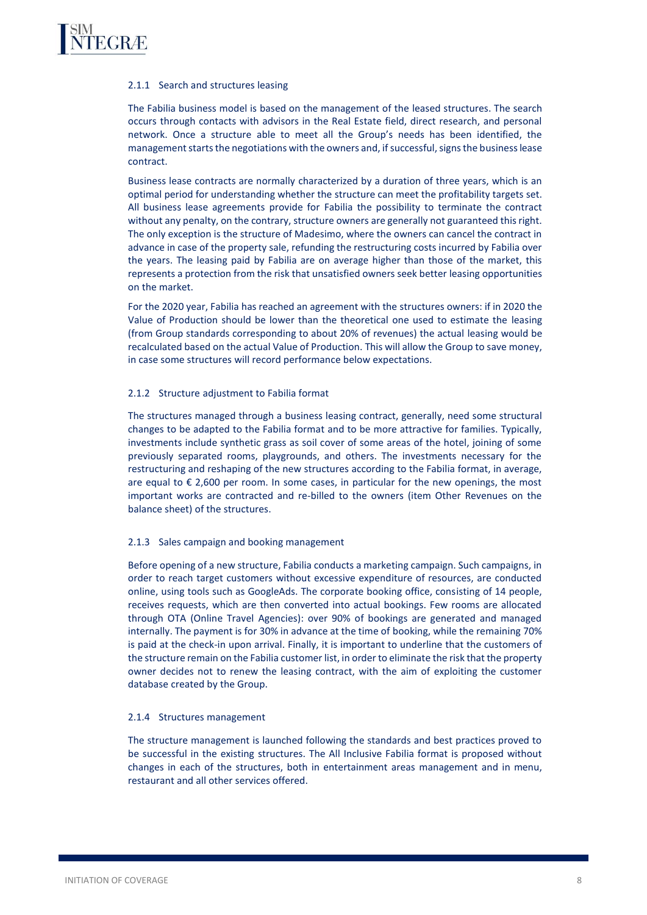# 2.1.1 Search and structures leasing

The Fabilia business model is based on the management of the leased structures. The search occurs through contacts with advisors in the Real Estate field, direct research, and personal network. Once a structure able to meet all the Group's needs has been identified, the management starts the negotiations with the owners and, if successful, signs the business lease contract.

Business lease contracts are normally characterized by a duration of three years, which is an optimal period for understanding whether the structure can meet the profitability targets set. All business lease agreements provide for Fabilia the possibility to terminate the contract without any penalty, on the contrary, structure owners are generally not guaranteed this right. The only exception is the structure of Madesimo, where the owners can cancel the contract in advance in case of the property sale, refunding the restructuring costs incurred by Fabilia over the years. The leasing paid by Fabilia are on average higher than those of the market, this represents a protection from the risk that unsatisfied owners seek better leasing opportunities on the market.

For the 2020 year, Fabilia has reached an agreement with the structures owners: if in 2020 the Value of Production should be lower than the theoretical one used to estimate the leasing (from Group standards corresponding to about 20% of revenues) the actual leasing would be recalculated based on the actual Value of Production. This will allow the Group to save money, in case some structures will record performance below expectations.

#### 2.1.2 Structure adjustment to Fabilia format

The structures managed through a business leasing contract, generally, need some structural changes to be adapted to the Fabilia format and to be more attractive for families. Typically, investments include synthetic grass as soil cover of some areas of the hotel, joining of some previously separated rooms, playgrounds, and others. The investments necessary for the restructuring and reshaping of the new structures according to the Fabilia format, in average, are equal to  $\epsilon$  2,600 per room. In some cases, in particular for the new openings, the most important works are contracted and re-billed to the owners (item Other Revenues on the balance sheet) of the structures.

#### 2.1.3 Sales campaign and booking management

Before opening of a new structure, Fabilia conducts a marketing campaign. Such campaigns, in order to reach target customers without excessive expenditure of resources, are conducted online, using tools such as GoogleAds. The corporate booking office, consisting of 14 people, receives requests, which are then converted into actual bookings. Few rooms are allocated through OTA (Online Travel Agencies): over 90% of bookings are generated and managed internally. The payment is for 30% in advance at the time of booking, while the remaining 70% is paid at the check-in upon arrival. Finally, it is important to underline that the customers of the structure remain on the Fabilia customer list, in order to eliminate the risk that the property owner decides not to renew the leasing contract, with the aim of exploiting the customer database created by the Group.

#### 2.1.4 Structures management

The structure management is launched following the standards and best practices proved to be successful in the existing structures. The All Inclusive Fabilia format is proposed without changes in each of the structures, both in entertainment areas management and in menu, restaurant and all other services offered.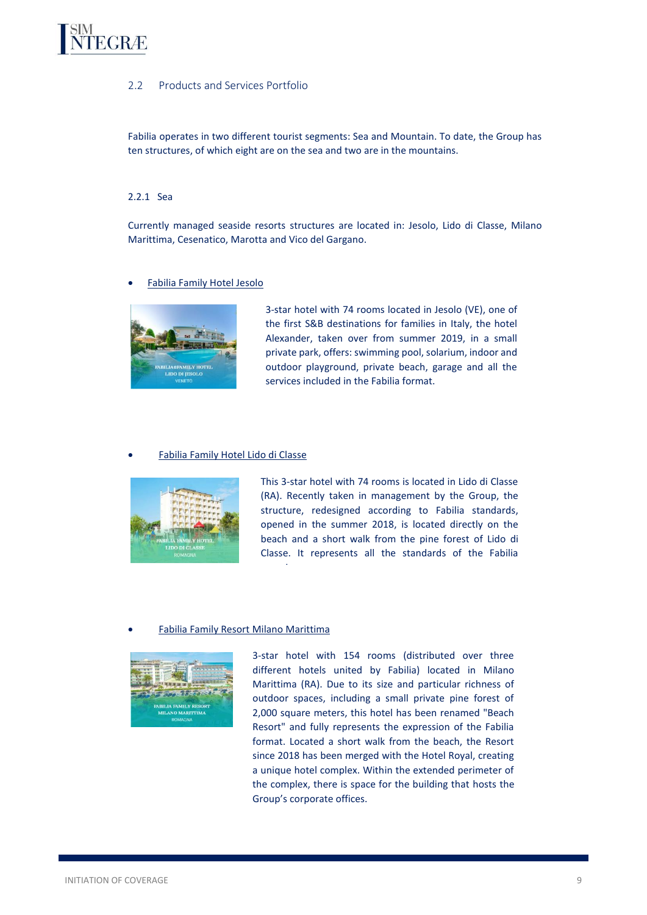# <span id="page-8-0"></span>**TEGRÆ**

# 2.2 Products and Services Portfolio

Fabilia operates in two different tourist segments: Sea and Mountain. To date, the Group has ten structures, of which eight are on the sea and two are in the mountains.

# 2.2.1 Sea

Currently managed seaside resorts structures are located in: Jesolo, Lido di Classe, Milano Marittima, Cesenatico, Marotta and Vico del Gargano.

# • Fabilia Family Hotel Jesolo



3-star hotel with 74 rooms located in Jesolo (VE), one of the first S&B destinations for families in Italy, the hotel Alexander, taken over from summer 2019, in a small private park, offers: swimming pool, solarium, indoor and outdoor playground, private beach, garage and all the services included in the Fabilia format.

### • Fabilia Family Hotel Lido di Classe



This 3-star hotel with 74 rooms is located in Lido di Classe (RA). Recently taken in management by the Group, the structure, redesigned according to Fabilia standards, opened in the summer 2018, is located directly on the beach and a short walk from the pine forest of Lido di Classe. It represents all the standards of the Fabilia

# • Fabilia Family Resort Milano Marittima

experience.



3-star hotel with 154 rooms (distributed over three different hotels united by Fabilia) located in Milano Marittima (RA). Due to its size and particular richness of outdoor spaces, including a small private pine forest of 2,000 square meters, this hotel has been renamed "Beach Resort" and fully represents the expression of the Fabilia format. Located a short walk from the beach, the Resort since 2018 has been merged with the Hotel Royal, creating a unique hotel complex. Within the extended perimeter of the complex, there is space for the building that hosts the Group's corporate offices.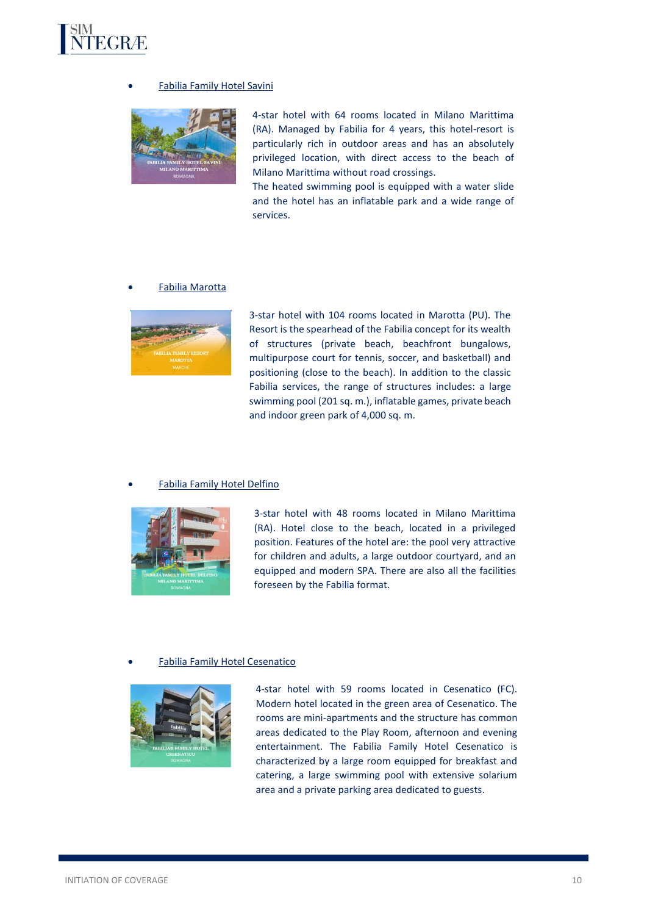

# • Fabilia Family Hotel Savini



4-star hotel with 64 rooms located in Milano Marittima (RA). Managed by Fabilia for 4 years, this hotel-resort is particularly rich in outdoor areas and has an absolutely privileged location, with direct access to the beach of Milano Marittima without road crossings.

The heated swimming pool is equipped with a water slide and the hotel has an inflatable park and a wide range of services.

#### • Fabilia Marotta



3-star hotel with 104 rooms located in Marotta (PU). The Resort is the spearhead of the Fabilia concept for its wealth of structures (private beach, beachfront bungalows, multipurpose court for tennis, soccer, and basketball) and positioning (close to the beach). In addition to the classic Fabilia services, the range of structures includes: a large swimming pool (201 sq. m.), inflatable games, private beach and indoor green park of 4,000 sq. m.

#### • Fabilia Family Hotel Delfino



3-star hotel with 48 rooms located in Milano Marittima (RA). Hotel close to the beach, located in a privileged position. Features of the hotel are: the pool very attractive for children and adults, a large outdoor courtyard, and an equipped and modern SPA. There are also all the facilities foreseen by the Fabilia format.

#### • Fabilia Family Hotel Cesenatico



4-star hotel with 59 rooms located in Cesenatico (FC). Modern hotel located in the green area of Cesenatico. The rooms are mini-apartments and the structure has common areas dedicated to the Play Room, afternoon and evening entertainment. The Fabilia Family Hotel Cesenatico is characterized by a large room equipped for breakfast and catering, a large swimming pool with extensive solarium area and a private parking area dedicated to guests.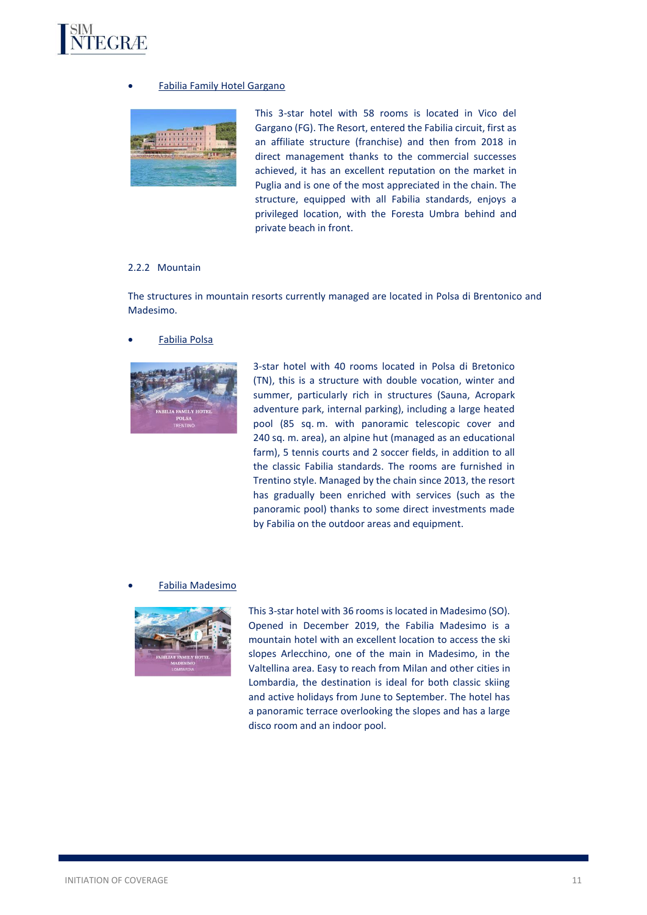

# • Fabilia Family Hotel Gargano



This 3-star hotel with 58 rooms is located in Vico del Gargano (FG). The Resort, entered the Fabilia circuit, first as an affiliate structure (franchise) and then from 2018 in direct management thanks to the commercial successes achieved, it has an excellent reputation on the market in Puglia and is one of the most appreciated in the chain. The structure, equipped with all Fabilia standards, enjoys a privileged location, with the Foresta Umbra behind and private beach in front.

# 2.2.2 Mountain

The structures in mountain resorts currently managed are located in Polsa di Brentonico and Madesimo.

# • Fabilia Polsa



3-star hotel with 40 rooms located in Polsa di Bretonico (TN), this is a structure with double vocation, winter and summer, particularly rich in structures (Sauna, Acropark adventure park, internal parking), including a large heated pool (85 sq. m. with panoramic telescopic cover and 240 sq. m. area), an alpine hut (managed as an educational farm), 5 tennis courts and 2 soccer fields, in addition to all the classic Fabilia standards. The rooms are furnished in Trentino style. Managed by the chain since 2013, the resort has gradually been enriched with services (such as the panoramic pool) thanks to some direct investments made by Fabilia on the outdoor areas and equipment.

#### • Fabilia Madesimo



This 3-star hotel with 36 rooms is located in Madesimo (SO). Opened in December 2019, the Fabilia Madesimo is a mountain hotel with an excellent location to access the ski slopes Arlecchino, one of the main in Madesimo, in the Valtellina area. Easy to reach from Milan and other cities in Lombardia, the destination is ideal for both classic skiing and active holidays from June to September. The hotel has a panoramic terrace overlooking the slopes and has a large disco room and an indoor pool.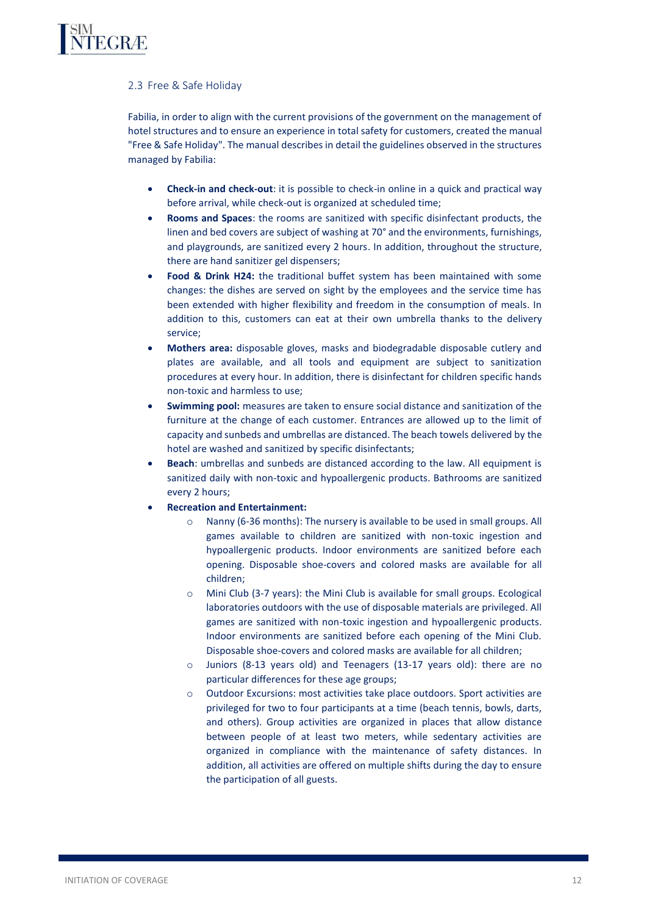# <span id="page-11-0"></span>2.3 Free & Safe Holiday

Fabilia, in order to align with the current provisions of the government on the management of hotel structures and to ensure an experience in total safety for customers, created the manual "Free & Safe Holiday". The manual describes in detail the guidelines observed in the structures managed by Fabilia:

- **Check-in and check-out**: it is possible to check-in online in a quick and practical way before arrival, while check-out is organized at scheduled time;
- **Rooms and Spaces**: the rooms are sanitized with specific disinfectant products, the linen and bed covers are subject of washing at 70° and the environments, furnishings, and playgrounds, are sanitized every 2 hours. In addition, throughout the structure, there are hand sanitizer gel dispensers;
- **Food & Drink H24:** the traditional buffet system has been maintained with some changes: the dishes are served on sight by the employees and the service time has been extended with higher flexibility and freedom in the consumption of meals. In addition to this, customers can eat at their own umbrella thanks to the delivery service;
- **Mothers area:** disposable gloves, masks and biodegradable disposable cutlery and plates are available, and all tools and equipment are subject to sanitization procedures at every hour. In addition, there is disinfectant for children specific hands non-toxic and harmless to use;
- **Swimming pool:** measures are taken to ensure social distance and sanitization of the furniture at the change of each customer. Entrances are allowed up to the limit of capacity and sunbeds and umbrellas are distanced. The beach towels delivered by the hotel are washed and sanitized by specific disinfectants;
- **Beach**: umbrellas and sunbeds are distanced according to the law. All equipment is sanitized daily with non-toxic and hypoallergenic products. Bathrooms are sanitized every 2 hours;
- **Recreation and Entertainment:**
	- o Nanny (6-36 months): The nursery is available to be used in small groups. All games available to children are sanitized with non-toxic ingestion and hypoallergenic products. Indoor environments are sanitized before each opening. Disposable shoe-covers and colored masks are available for all children;
	- o Mini Club (3-7 years): the Mini Club is available for small groups. Ecological laboratories outdoors with the use of disposable materials are privileged. All games are sanitized with non-toxic ingestion and hypoallergenic products. Indoor environments are sanitized before each opening of the Mini Club. Disposable shoe-covers and colored masks are available for all children;
	- o Juniors (8-13 years old) and Teenagers (13-17 years old): there are no particular differences for these age groups;
	- o Outdoor Excursions: most activities take place outdoors. Sport activities are privileged for two to four participants at a time (beach tennis, bowls, darts, and others). Group activities are organized in places that allow distance between people of at least two meters, while sedentary activities are organized in compliance with the maintenance of safety distances. In addition, all activities are offered on multiple shifts during the day to ensure the participation of all guests.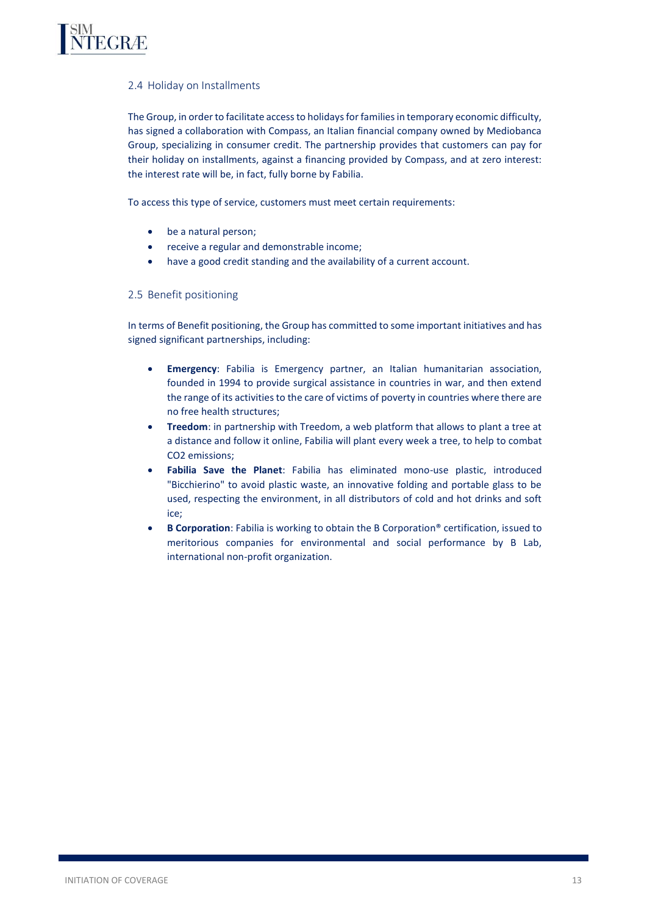<span id="page-12-0"></span>

# 2.4 Holiday on Installments

The Group, in order to facilitate access to holidays for families in temporary economic difficulty, has signed a collaboration with Compass, an Italian financial company owned by Mediobanca Group, specializing in consumer credit. The partnership provides that customers can pay for their holiday on installments, against a financing provided by Compass, and at zero interest: the interest rate will be, in fact, fully borne by Fabilia.

To access this type of service, customers must meet certain requirements:

- be a natural person;
- receive a regular and demonstrable income;
- have a good credit standing and the availability of a current account.

### <span id="page-12-1"></span>2.5 Benefit positioning

In terms of Benefit positioning, the Group has committed to some important initiatives and has signed significant partnerships, including:

- **Emergency**: Fabilia is Emergency partner, an Italian humanitarian association, founded in 1994 to provide surgical assistance in countries in war, and then extend the range of its activities to the care of victims of poverty in countries where there are no free health structures;
- **Treedom**: in partnership with Treedom, a web platform that allows to plant a tree at a distance and follow it online, Fabilia will plant every week a tree, to help to combat CO2 emissions;
- **Fabilia Save the Planet**: Fabilia has eliminated mono-use plastic, introduced "Bicchierino" to avoid plastic waste, an innovative folding and portable glass to be used, respecting the environment, in all distributors of cold and hot drinks and soft ice;
- **B Corporation**: Fabilia is working to obtain the B Corporation® certification, issued to meritorious companies for environmental and social performance by B Lab, international non-profit organization.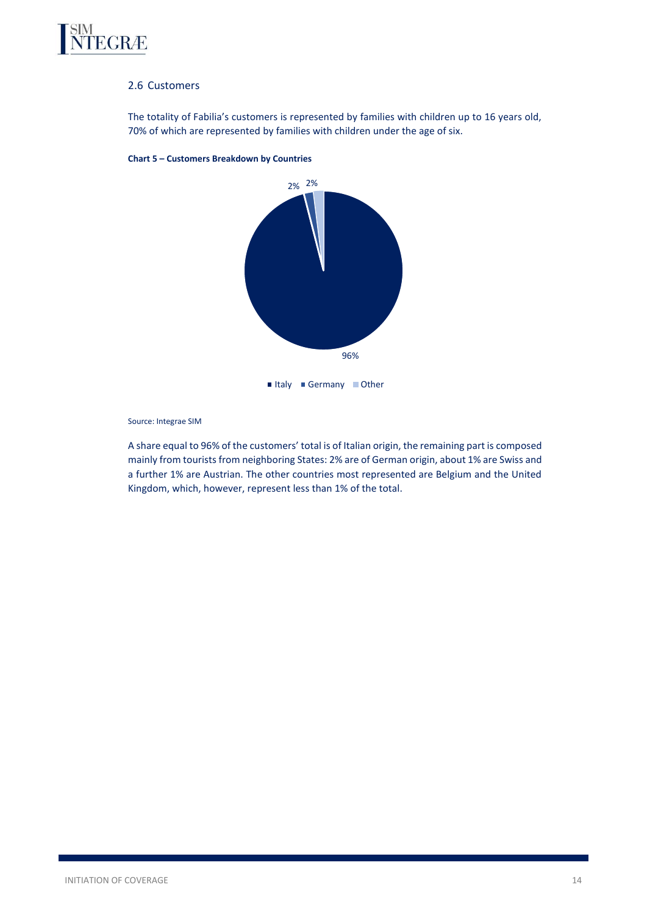

# 2.6 Customers

The totality of Fabilia's customers is represented by families with children up to 16 years old, 70% of which are represented by families with children under the age of six.



**Chart 5 – Customers Breakdown by Countries**

Source: Integrae SIM

A share equal to 96% of the customers' total is of Italian origin, the remaining part is composed mainly from tourists from neighboring States: 2% are of German origin, about 1% are Swiss and a further 1% are Austrian. The other countries most represented are Belgium and the United Kingdom, which, however, represent less than 1% of the total.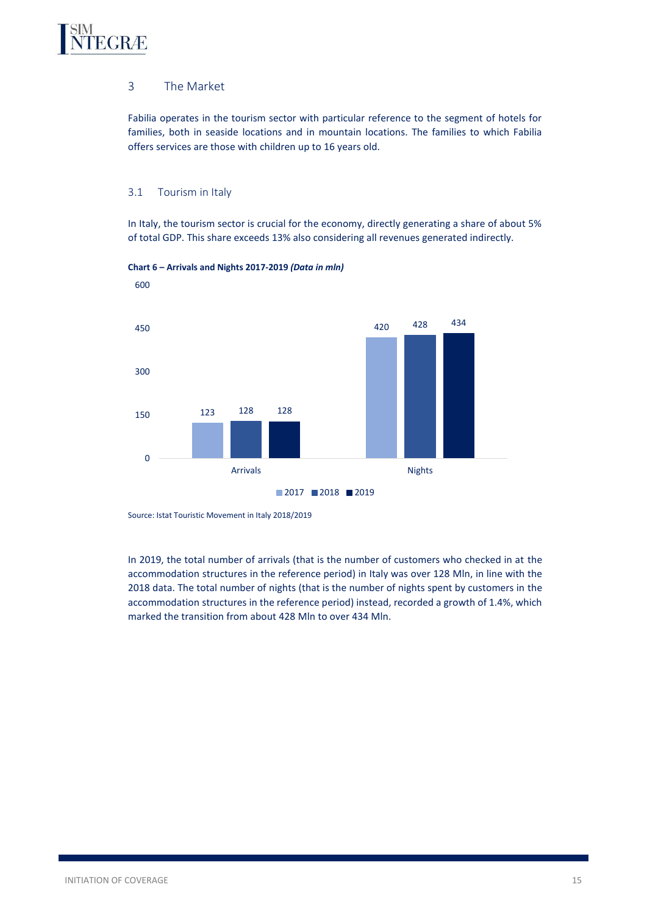# <span id="page-14-0"></span>EGRÆ

# 3 The Market

Fabilia operates in the tourism sector with particular reference to the segment of hotels for families, both in seaside locations and in mountain locations. The families to which Fabilia offers services are those with children up to 16 years old.

# <span id="page-14-1"></span>3.1 Tourism in Italy

In Italy, the tourism sector is crucial for the economy, directly generating a share of about 5% of total GDP. This share exceeds 13% also considering all revenues generated indirectly.





Source: Istat Touristic Movement in Italy 2018/2019

In 2019, the total number of arrivals (that is the number of customers who checked in at the accommodation structures in the reference period) in Italy was over 128 Mln, in line with the 2018 data. The total number of nights (that is the number of nights spent by customers in the accommodation structures in the reference period) instead, recorded a growth of 1.4%, which marked the transition from about 428 Mln to over 434 Mln.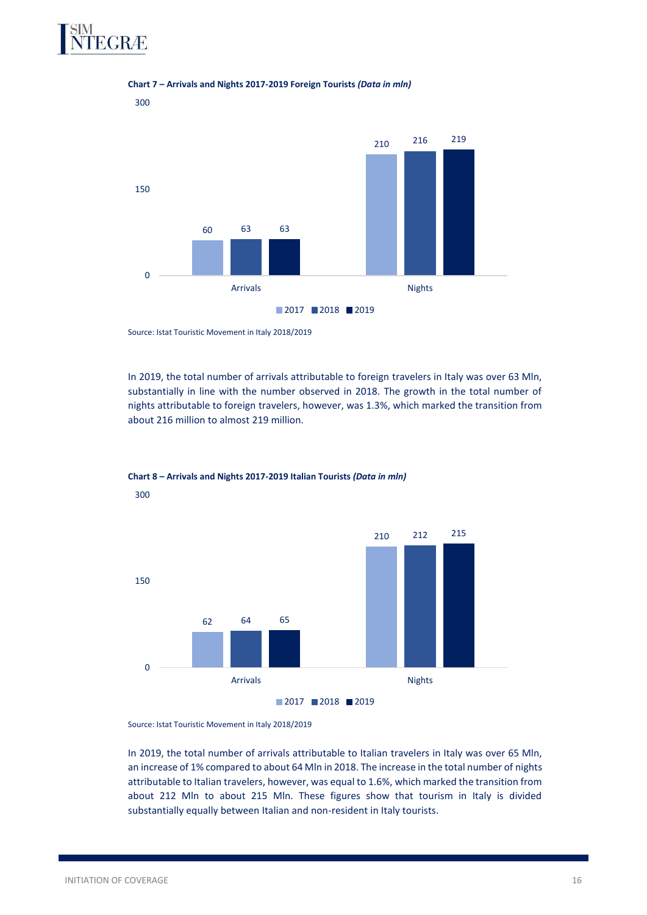



#### **Chart 7 – Arrivals and Nights 2017-2019 Foreign Tourists** *(Data in mln)*

Source: Istat Touristic Movement in Italy 2018/2019

In 2019, the total number of arrivals attributable to foreign travelers in Italy was over 63 Mln, substantially in line with the number observed in 2018. The growth in the total number of nights attributable to foreign travelers, however, was 1.3%, which marked the transition from about 216 million to almost 219 million.



# **Chart 8 – Arrivals and Nights 2017-2019 Italian Tourists** *(Data in mln)* 300

Source: Istat Touristic Movement in Italy 2018/2019

In 2019, the total number of arrivals attributable to Italian travelers in Italy was over 65 Mln, an increase of 1% compared to about 64 Mln in 2018. The increase in the total number of nights attributable to Italian travelers, however, was equal to 1.6%, which marked the transition from about 212 Mln to about 215 Mln. These figures show that tourism in Italy is divided substantially equally between Italian and non-resident in Italy tourists.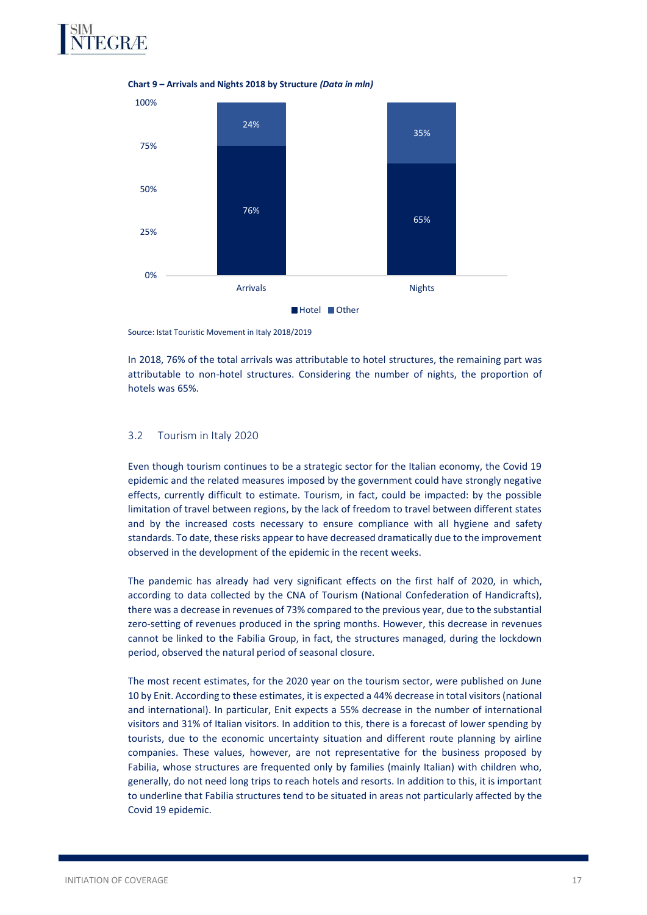



**Chart 9 – Arrivals and Nights 2018 by Structure** *(Data in mln)*

Source: Istat Touristic Movement in Italy 2018/2019

In 2018, 76% of the total arrivals was attributable to hotel structures, the remaining part was attributable to non-hotel structures. Considering the number of nights, the proportion of hotels was 65%.

#### <span id="page-16-0"></span>3.2 Tourism in Italy 2020

Even though tourism continues to be a strategic sector for the Italian economy, the Covid 19 epidemic and the related measures imposed by the government could have strongly negative effects, currently difficult to estimate. Tourism, in fact, could be impacted: by the possible limitation of travel between regions, by the lack of freedom to travel between different states and by the increased costs necessary to ensure compliance with all hygiene and safety standards. To date, these risks appear to have decreased dramatically due to the improvement observed in the development of the epidemic in the recent weeks.

The pandemic has already had very significant effects on the first half of 2020, in which, according to data collected by the CNA of Tourism (National Confederation of Handicrafts), there was a decrease in revenues of 73% compared to the previous year, due to the substantial zero-setting of revenues produced in the spring months. However, this decrease in revenues cannot be linked to the Fabilia Group, in fact, the structures managed, during the lockdown period, observed the natural period of seasonal closure.

The most recent estimates, for the 2020 year on the tourism sector, were published on June 10 by Enit. According to these estimates, it is expected a 44% decrease in total visitors (national and international). In particular, Enit expects a 55% decrease in the number of international visitors and 31% of Italian visitors. In addition to this, there is a forecast of lower spending by tourists, due to the economic uncertainty situation and different route planning by airline companies. These values, however, are not representative for the business proposed by Fabilia, whose structures are frequented only by families (mainly Italian) with children who, generally, do not need long trips to reach hotels and resorts. In addition to this, it is important to underline that Fabilia structures tend to be situated in areas not particularly affected by the Covid 19 epidemic.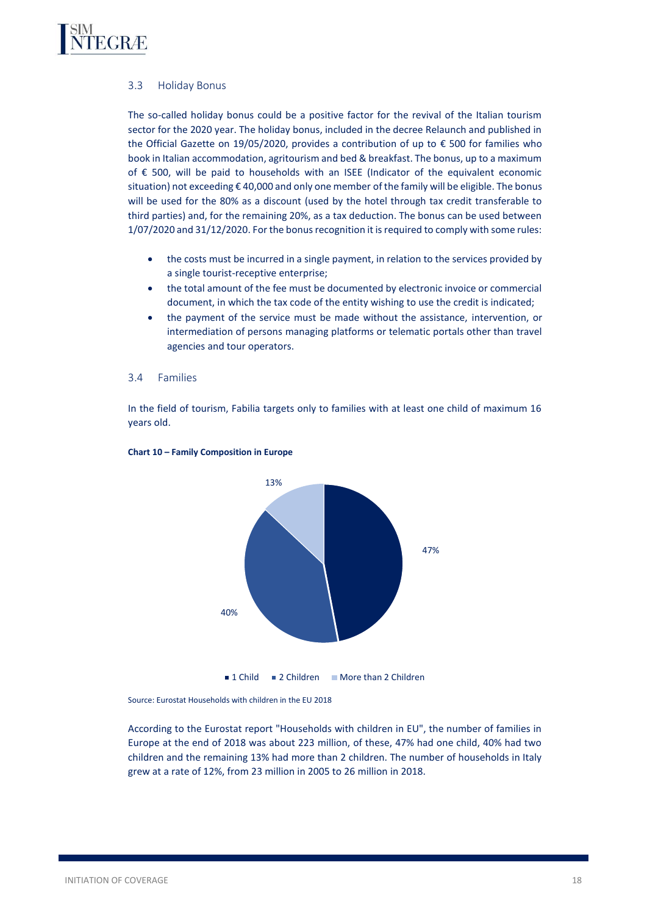<span id="page-17-0"></span>

# 3.3 Holiday Bonus

The so-called holiday bonus could be a positive factor for the revival of the Italian tourism sector for the 2020 year. The holiday bonus, included in the decree Relaunch and published in the Official Gazette on 19/05/2020, provides a contribution of up to € 500 for families who book in Italian accommodation, agritourism and bed & breakfast. The bonus, up to a maximum of € 500, will be paid to households with an ISEE (Indicator of the equivalent economic situation) not exceeding € 40,000 and only one member of the family will be eligible. The bonus will be used for the 80% as a discount (used by the hotel through tax credit transferable to third parties) and, for the remaining 20%, as a tax deduction. The bonus can be used between 1/07/2020 and 31/12/2020. For the bonus recognition it is required to comply with some rules:

- the costs must be incurred in a single payment, in relation to the services provided by a single tourist-receptive enterprise;
- the total amount of the fee must be documented by electronic invoice or commercial document, in which the tax code of the entity wishing to use the credit is indicated;
- the payment of the service must be made without the assistance, intervention, or intermediation of persons managing platforms or telematic portals other than travel agencies and tour operators.

#### <span id="page-17-1"></span>3.4 Families

In the field of tourism, Fabilia targets only to families with at least one child of maximum 16 years old.



#### **Chart 10 – Family Composition in Europe**

Source: Eurostat Households with children in the EU 2018

According to the Eurostat report "Households with children in EU", the number of families in Europe at the end of 2018 was about 223 million, of these, 47% had one child, 40% had two children and the remaining 13% had more than 2 children. The number of households in Italy grew at a rate of 12%, from 23 million in 2005 to 26 million in 2018.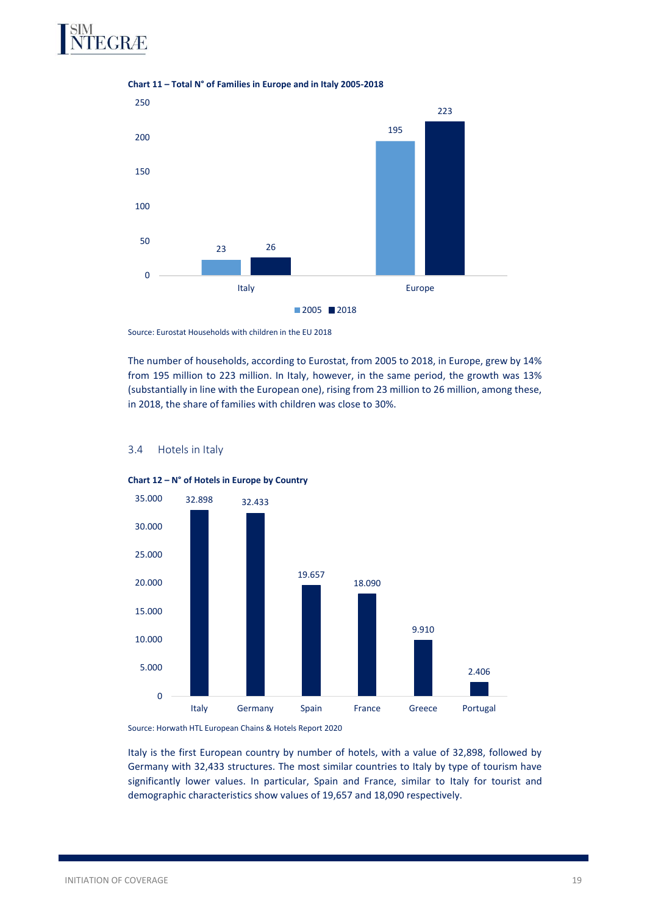



**Chart 11 – Total N° of Families in Europe and in Italy 2005-2018**

Source: Eurostat Households with children in the EU 2018

The number of households, according to Eurostat, from 2005 to 2018, in Europe, grew by 14% from 195 million to 223 million. In Italy, however, in the same period, the growth was 13% (substantially in line with the European one), rising from 23 million to 26 million, among these, in 2018, the share of families with children was close to 30%.



### <span id="page-18-0"></span>3.4 Hotels in Italy

**Chart 12 – N° of Hotels in Europe by Country**

Source: Horwath HTL European Chains & Hotels Report 2020

Italy is the first European country by number of hotels, with a value of 32,898, followed by Germany with 32,433 structures. The most similar countries to Italy by type of tourism have significantly lower values. In particular, Spain and France, similar to Italy for tourist and demographic characteristics show values of 19,657 and 18,090 respectively.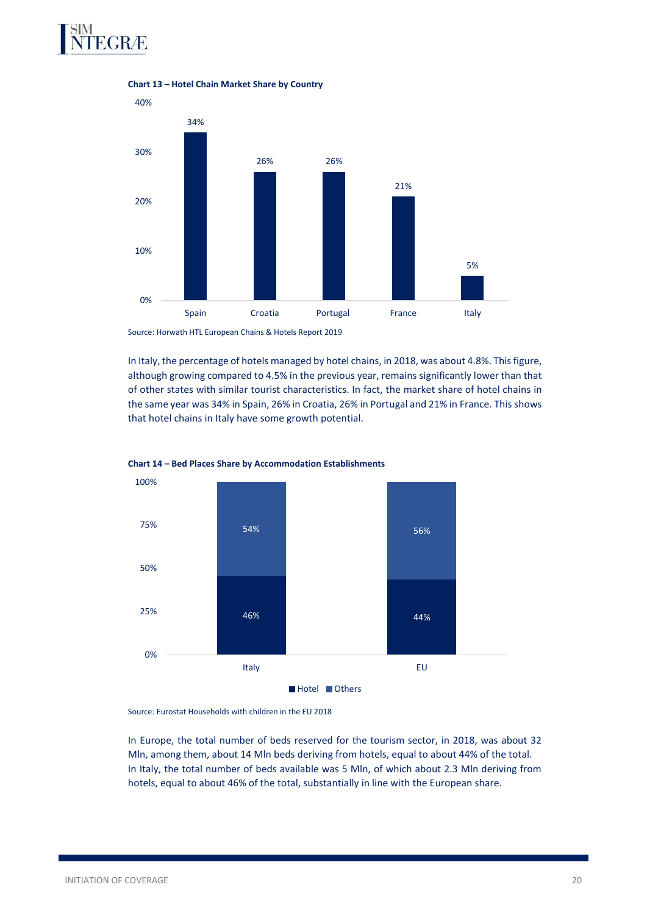# EGRÆ



**Chart 13 – Hotel Chain Market Share by Country**

Source: Horwath HTL European Chains & Hotels Report 2019

In Italy, the percentage of hotels managed by hotel chains, in 2018, was about 4.8%. This figure, although growing compared to 4.5% in the previous year, remains significantly lower than that of other states with similar tourist characteristics. In fact, the market share of hotel chains in the same year was 34% in Spain, 26% in Croatia, 26% in Portugal and 21% in France. This shows that hotel chains in Italy have some growth potential.





Source: Eurostat Households with children in the EU 2018

In Europe, the total number of beds reserved for the tourism sector, in 2018, was about 32 Mln, among them, about 14 Mln beds deriving from hotels, equal to about 44% of the total. In Italy, the total number of beds available was 5 Mln, of which about 2.3 Mln deriving from hotels, equal to about 46% of the total, substantially in line with the European share.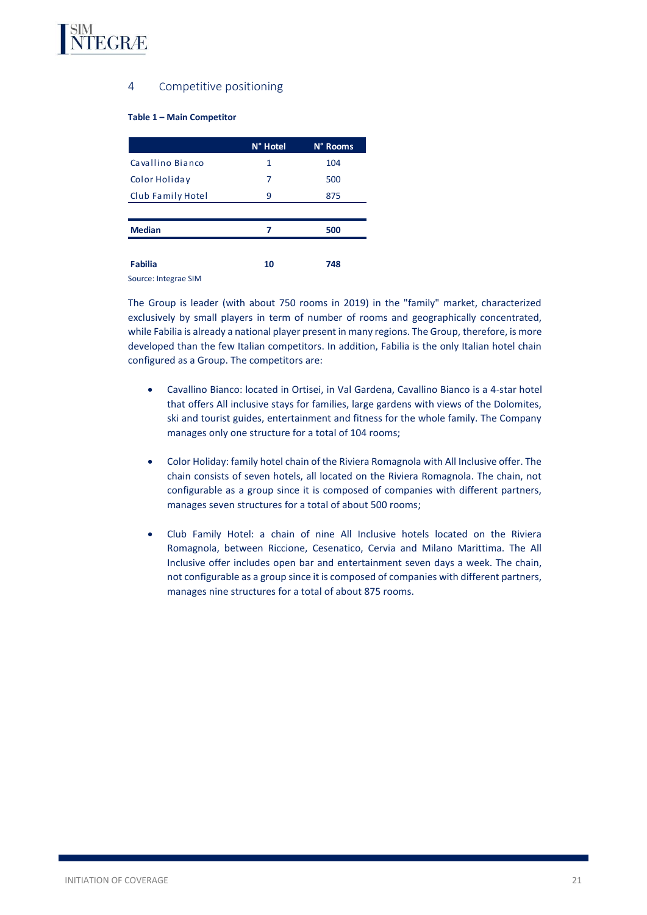<span id="page-20-0"></span>

# 4 Competitive positioning

#### **Table 1 – Main Competitor**

|                      | N° Hotel | N° Rooms |
|----------------------|----------|----------|
| Cavallino Bianco     | 1        | 104      |
| Color Holiday        | 7        | 500      |
| Club Family Hotel    | 9        | 875      |
|                      |          |          |
| <b>Median</b>        | 7        | 500      |
|                      |          |          |
| <b>Fabilia</b>       | 10       | 748      |
| Source: Integrae SIM |          |          |

The Group is leader (with about 750 rooms in 2019) in the "family" market, characterized exclusively by small players in term of number of rooms and geographically concentrated, while Fabilia is already a national player present in many regions. The Group, therefore, is more developed than the few Italian competitors. In addition, Fabilia is the only Italian hotel chain configured as a Group. The competitors are:

- Cavallino Bianco: located in Ortisei, in Val Gardena, Cavallino Bianco is a 4-star hotel that offers All inclusive stays for families, large gardens with views of the Dolomites, ski and tourist guides, entertainment and fitness for the whole family. The Company manages only one structure for a total of 104 rooms;
- Color Holiday: family hotel chain of the Riviera Romagnola with All Inclusive offer. The chain consists of seven hotels, all located on the Riviera Romagnola. The chain, not configurable as a group since it is composed of companies with different partners, manages seven structures for a total of about 500 rooms;
- Club Family Hotel: a chain of nine All Inclusive hotels located on the Riviera Romagnola, between Riccione, Cesenatico, Cervia and Milano Marittima. The All Inclusive offer includes open bar and entertainment seven days a week. The chain, not configurable as a group since it is composed of companies with different partners, manages nine structures for a total of about 875 rooms.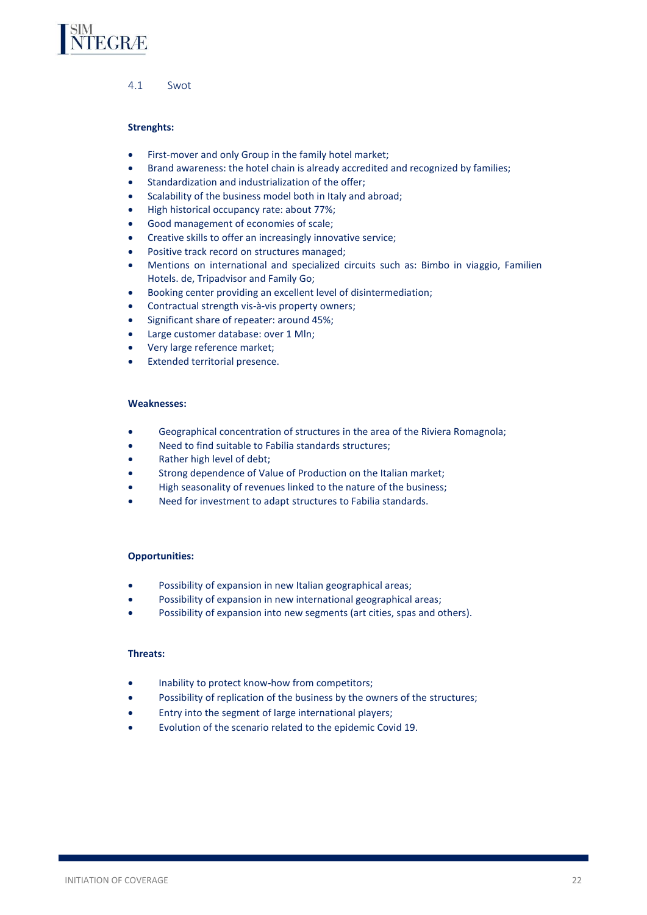<span id="page-21-0"></span>

4.1 Swot

### **Strenghts:**

- First-mover and only Group in the family hotel market;
- Brand awareness: the hotel chain is already accredited and recognized by families;
- Standardization and industrialization of the offer;
- Scalability of the business model both in Italy and abroad;
- High historical occupancy rate: about 77%;
- Good management of economies of scale;
- Creative skills to offer an increasingly innovative service;
- Positive track record on structures managed;
- Mentions on international and specialized circuits such as: Bimbo in viaggio, Familien Hotels. de, Tripadvisor and Family Go;
- Booking center providing an excellent level of disintermediation;
- Contractual strength vis-à-vis property owners;
- Significant share of repeater: around 45%;
- Large customer database: over 1 Mln;
- Very large reference market;
- Extended territorial presence.

#### **Weaknesses:**

- Geographical concentration of structures in the area of the Riviera Romagnola;
- Need to find suitable to Fabilia standards structures;
- Rather high level of debt;
- Strong dependence of Value of Production on the Italian market;
- High seasonality of revenues linked to the nature of the business;
- Need for investment to adapt structures to Fabilia standards.

### **Opportunities:**

- Possibility of expansion in new Italian geographical areas;
- Possibility of expansion in new international geographical areas;
- Possibility of expansion into new segments (art cities, spas and others).

### **Threats:**

- Inability to protect know-how from competitors;
- Possibility of replication of the business by the owners of the structures;
- Entry into the segment of large international players;
- Evolution of the scenario related to the epidemic Covid 19.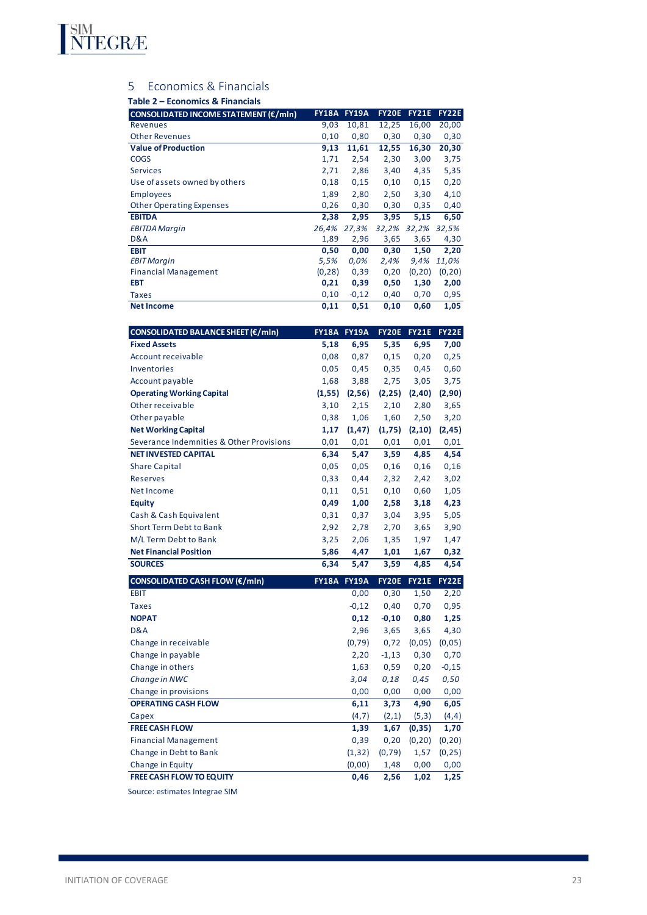<span id="page-22-0"></span>

# 5 Economics & Financials

### **Table 2 – Economics & Financials**

| CONSOLIDATED INCOME STATEMENT (€/mln)    | <b>FY18A</b> | <b>FY19A</b>       | <b>FY20E</b> | <b>FY21E</b> | <b>FY22E</b> |
|------------------------------------------|--------------|--------------------|--------------|--------------|--------------|
| Revenues                                 | 9,03         | 10,81              | 12,25        | 16,00        | 20,00        |
| <b>Other Revenues</b>                    | 0,10         | 0,80               | 0,30         | 0,30         | 0,30         |
| <b>Value of Production</b>               | 9,13         | 11,61              | 12,55        | 16,30        | 20,30        |
| <b>COGS</b>                              | 1,71         | 2,54               | 2,30         | 3,00         | 3,75         |
| <b>Services</b>                          | 2,71         | 2,86               | 3,40         | 4,35         | 5,35         |
| Use of assets owned by others            | 0,18         | 0,15               | 0,10         | 0,15         | 0,20         |
| <b>Employees</b>                         | 1,89         | 2,80               | 2,50         | 3,30         | 4,10         |
| <b>Other Operating Expenses</b>          | 0,26         | 0,30               | 0,30         | 0,35         | 0,40         |
| <b>EBITDA</b>                            | 2,38         | 2,95               | 3,95         | 5,15         | 6,50         |
| <b>EBITDA Margin</b>                     | 26,4%        | 27,3%              | 32,2% 32,2%  |              | 32,5%        |
| D&A                                      | 1,89         | 2,96               | 3,65         | 3,65         | 4,30         |
| <b>EBIT</b>                              | 0,50         | 0,00               | 0,30         | 1,50         | 2,20         |
| <b>EBIT Margin</b>                       | 5,5%         | 0,0%               | 2,4%         | 9,4%         | 11,0%        |
| <b>Financial Management</b>              | (0, 28)      | 0,39               | 0,20         | (0, 20)      | (0, 20)      |
| <b>EBT</b>                               | 0,21         | 0,39               | 0,50         | 1,30         | 2,00         |
| <b>Taxes</b>                             | 0,10         | $-0,12$            | 0,40         | 0,70         | 0,95         |
| <b>Net Income</b>                        | 0,11         | 0,51               | 0,10         | 0,60         | 1,05         |
|                                          |              |                    |              |              |              |
| CONSOLIDATED BALANCE SHEET (€/mln)       |              | <b>FY18A FY19A</b> | <b>FY20E</b> | <b>FY21E</b> | FY22E        |
| <b>Fixed Assets</b>                      | 5,18         | 6,95               | 5,35         | 6,95         | 7,00         |
| Account receivable                       | 0,08         | 0,87               | 0,15         | 0,20         | 0,25         |
| Inventories                              | 0,05         | 0,45               | 0,35         | 0,45         | 0,60         |
| Account payable                          | 1,68         | 3,88               | 2,75         | 3,05         | 3,75         |
| <b>Operating Working Capital</b>         | (1, 55)      | (2, 56)            | (2, 25)      | (2, 40)      | (2,90)       |
| Other receivable                         | 3,10         | 2,15               | 2,10         | 2,80         | 3,65         |
| Other payable                            | 0,38         | 1,06               | 1,60         | 2,50         | 3,20         |
| <b>Net Working Capital</b>               | 1,17         | (1, 47)            | (1,75)       | (2, 10)      | (2, 45)      |
| Severance Indemnities & Other Provisions | 0,01         | 0,01               | 0,01         | 0,01         | 0,01         |
| <b>NET INVESTED CAPITAL</b>              | 6,34         | 5,47               | 3,59         | 4,85         | 4,54         |
| <b>Share Capital</b>                     | 0,05         | 0,05               | 0,16         | 0,16         | 0,16         |
| <b>Reserves</b>                          | 0,33         | 0,44               | 2,32         | 2,42         | 3,02         |

| Account payable                          | 1,68         | 3,88         | 2,75         | 3,05         | 3,75         |
|------------------------------------------|--------------|--------------|--------------|--------------|--------------|
| <b>Operating Working Capital</b>         | (1, 55)      | (2, 56)      | (2, 25)      | (2, 40)      | (2, 90)      |
| Other receivable                         | 3,10         | 2,15         | 2,10         | 2,80         | 3,65         |
| Other payable                            | 0,38         | 1,06         | 1,60         | 2,50         | 3,20         |
| <b>Net Working Capital</b>               | 1,17         | (1, 47)      | (1,75)       | (2, 10)      | (2, 45)      |
| Severance Indemnities & Other Provisions | 0,01         | 0,01         | 0,01         | 0,01         | 0,01         |
| <b>NET INVESTED CAPITAL</b>              | 6,34         | 5,47         | 3,59         | 4,85         | 4,54         |
| <b>Share Capital</b>                     | 0,05         | 0,05         | 0,16         | 0,16         | 0,16         |
| <b>Reserves</b>                          | 0,33         | 0,44         | 2,32         | 2,42         | 3,02         |
| Net Income                               | 0,11         | 0,51         | 0,10         | 0,60         | 1,05         |
| <b>Equity</b>                            | 0,49         | 1,00         | 2,58         | 3,18         | 4,23         |
| Cash & Cash Equivalent                   | 0,31         | 0,37         | 3,04         | 3,95         | 5,05         |
| <b>Short Term Debt to Bank</b>           | 2,92         | 2,78         | 2,70         | 3,65         | 3,90         |
| M/L Term Debt to Bank                    | 3,25         | 2,06         | 1,35         | 1,97         | 1,47         |
| <b>Net Financial Position</b>            | 5,86         | 4,47         | 1,01         | 1,67         | 0,32         |
| <b>SOURCES</b>                           | 6,34         | 5,47         | 3,59         | 4,85         | 4,54         |
|                                          |              |              |              |              |              |
| <b>CONSOLIDATED CASH FLOW (€/mln)</b>    | <b>FY18A</b> | <b>FY19A</b> | <b>FY20E</b> | <b>FY21E</b> | <b>FY22E</b> |
| <b>EBIT</b>                              |              | 0,00         | 0,30         | 1,50         | 2,20         |
| <b>Taxes</b>                             |              | $-0,12$      | 0,40         | 0,70         | 0,95         |
| <b>NOPAT</b>                             |              | 0,12         | $-0,10$      | 0,80         | 1,25         |
| D&A                                      |              | 2,96         | 3,65         | 3,65         | 4,30         |
| Change in receivable                     |              | (0, 79)      | 0,72         | (0, 05)      | (0, 05)      |
| Change in payable                        |              | 2,20         | $-1,13$      | 0,30         | 0,70         |
| Change in others                         |              | 1,63         | 0,59         | 0,20         | $-0,15$      |
| Change in NWC                            |              | 3,04         | 0,18         | 0,45         | 0,50         |
| Change in provisions                     |              | 0,00         | 0,00         | 0,00         | 0,00         |
| <b>OPERATING CASH FLOW</b>               |              | 6,11         | 3,73         | 4,90         | 6,05         |
| Capex                                    |              | (4,7)        | (2,1)        | (5,3)        | (4, 4)       |
| <b>FREE CASH FLOW</b>                    |              | 1,39         | 1,67         | (0, 35)      | 1,70         |
| <b>Financial Management</b>              |              | 0,39         | 0,20         | (0, 20)      | (0, 20)      |
| Change in Debt to Bank                   |              | (1, 32)      | (0, 79)      | 1,57         | (0, 25)      |
| Change in Equity                         |              | (0,00)       | 1,48         | 0,00         | 0,00         |

Source: estimates Integrae SIM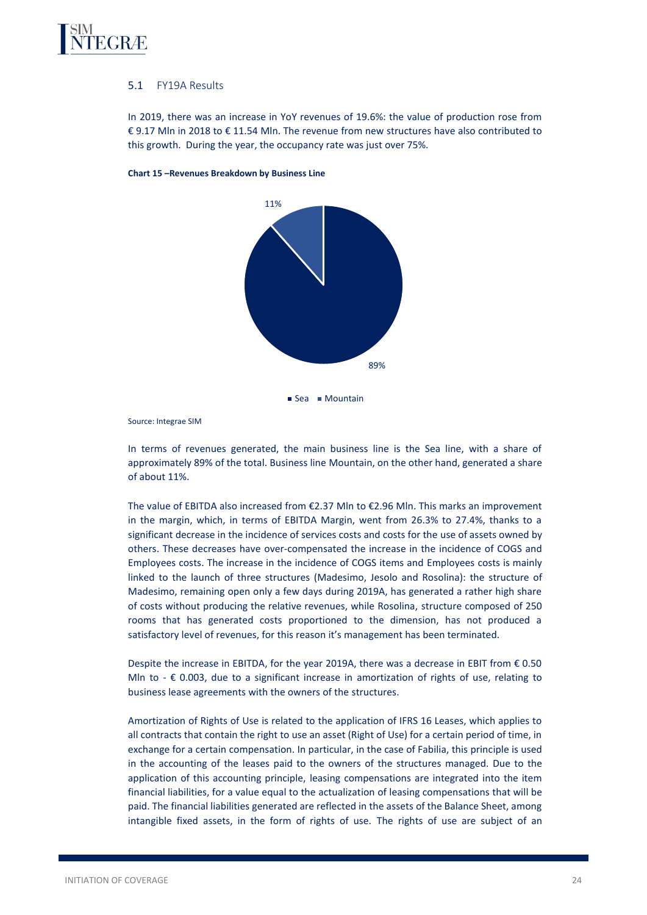

# 5.1 FY19A Results

In 2019, there was an increase in YoY revenues of 19.6%: the value of production rose from € 9.17 Mln in 2018 to € 11.54 Mln. The revenue from new structures have also contributed to this growth. During the year, the occupancy rate was just over 75%.



#### **Chart 15 –Revenues Breakdown by Business Line**

Source: Integrae SIM

In terms of revenues generated, the main business line is the Sea line, with a share of approximately 89% of the total. Business line Mountain, on the other hand, generated a share of about 11%.

The value of EBITDA also increased from €2.37 Mln to €2.96 Mln. This marks an improvement in the margin, which, in terms of EBITDA Margin, went from 26.3% to 27.4%, thanks to a significant decrease in the incidence of services costs and costs for the use of assets owned by others. These decreases have over-compensated the increase in the incidence of COGS and Employees costs. The increase in the incidence of COGS items and Employees costs is mainly linked to the launch of three structures (Madesimo, Jesolo and Rosolina): the structure of Madesimo, remaining open only a few days during 2019A, has generated a rather high share of costs without producing the relative revenues, while Rosolina, structure composed of 250 rooms that has generated costs proportioned to the dimension, has not produced a satisfactory level of revenues, for this reason it's management has been terminated.

Despite the increase in EBITDA, for the year 2019A, there was a decrease in EBIT from € 0.50 Mln to -  $\epsilon$  0.003, due to a significant increase in amortization of rights of use, relating to business lease agreements with the owners of the structures.

Amortization of Rights of Use is related to the application of IFRS 16 Leases, which applies to all contracts that contain the right to use an asset (Right of Use) for a certain period of time, in exchange for a certain compensation. In particular, in the case of Fabilia, this principle is used in the accounting of the leases paid to the owners of the structures managed. Due to the application of this accounting principle, leasing compensations are integrated into the item financial liabilities, for a value equal to the actualization of leasing compensations that will be paid. The financial liabilities generated are reflected in the assets of the Balance Sheet, among intangible fixed assets, in the form of rights of use. The rights of use are subject of an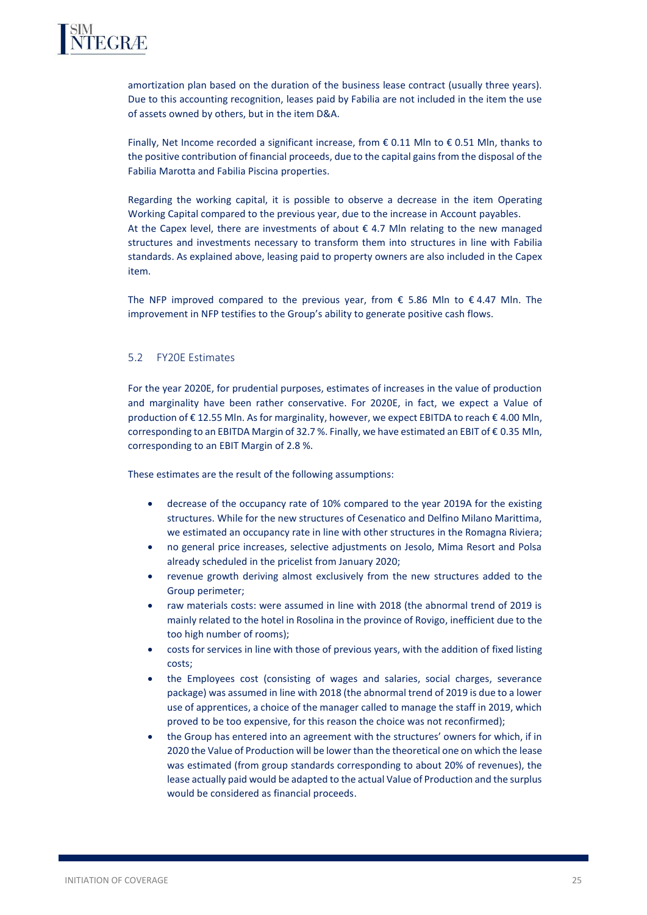

amortization plan based on the duration of the business lease contract (usually three years). Due to this accounting recognition, leases paid by Fabilia are not included in the item the use of assets owned by others, but in the item D&A.

Finally, Net Income recorded a significant increase, from  $\epsilon$  0.11 Mln to  $\epsilon$  0.51 Mln, thanks to the positive contribution of financial proceeds, due to the capital gains from the disposal of the Fabilia Marotta and Fabilia Piscina properties.

Regarding the working capital, it is possible to observe a decrease in the item Operating Working Capital compared to the previous year, due to the increase in Account payables. At the Capex level, there are investments of about  $\epsilon$  4.7 Mln relating to the new managed structures and investments necessary to transform them into structures in line with Fabilia standards. As explained above, leasing paid to property owners are also included in the Capex item.

The NFP improved compared to the previous year, from  $\epsilon$  5.86 Mln to  $\epsilon$  4.47 Mln. The improvement in NFP testifies to the Group's ability to generate positive cash flows.

# 5.2 FY20E Estimates

For the year 2020E, for prudential purposes, estimates of increases in the value of production and marginality have been rather conservative. For 2020E, in fact, we expect a Value of production of €12.55 Mln. As for marginality, however, we expect EBITDA to reach € 4.00 Mln, corresponding to an EBITDA Margin of 32.7 %. Finally, we have estimated an EBIT of € 0.35 Mln, corresponding to an EBIT Margin of 2.8 %.

These estimates are the result of the following assumptions:

- decrease of the occupancy rate of 10% compared to the year 2019A for the existing structures. While for the new structures of Cesenatico and Delfino Milano Marittima, we estimated an occupancy rate in line with other structures in the Romagna Riviera;
- no general price increases, selective adjustments on Jesolo, Mima Resort and Polsa already scheduled in the pricelist from January 2020;
- revenue growth deriving almost exclusively from the new structures added to the Group perimeter;
- raw materials costs: were assumed in line with 2018 (the abnormal trend of 2019 is mainly related to the hotel in Rosolina in the province of Rovigo, inefficient due to the too high number of rooms);
- costs for services in line with those of previous years, with the addition of fixed listing costs;
- the Employees cost (consisting of wages and salaries, social charges, severance package) was assumed in line with 2018 (the abnormal trend of 2019 is due to a lower use of apprentices, a choice of the manager called to manage the staff in 2019, which proved to be too expensive, for this reason the choice was not reconfirmed);
- the Group has entered into an agreement with the structures' owners for which, if in 2020 the Value of Production will be lower than the theoretical one on which the lease was estimated (from group standards corresponding to about 20% of revenues), the lease actually paid would be adapted to the actual Value of Production and the surplus would be considered as financial proceeds.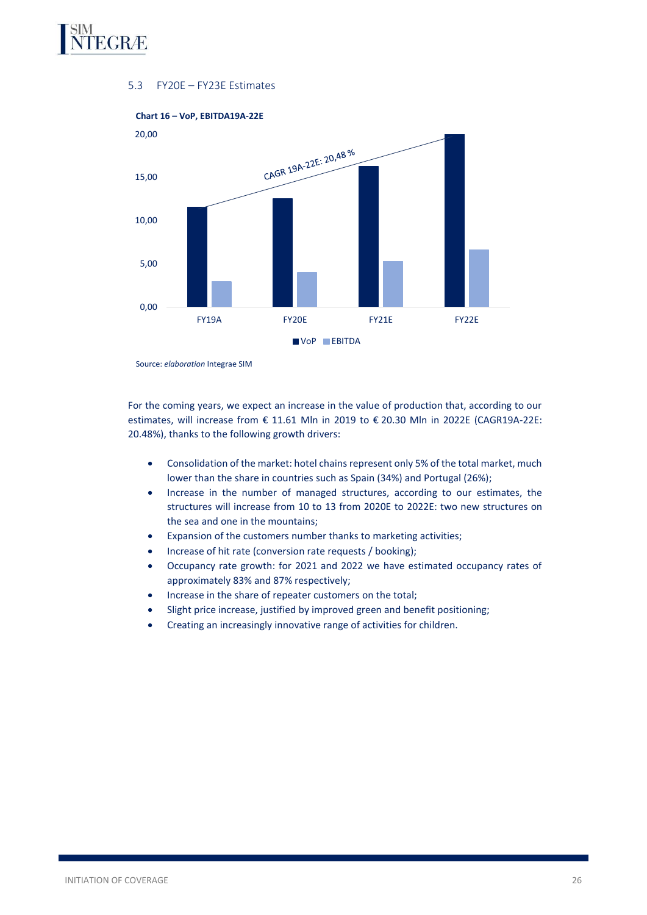

# 5.3 FY20E – FY23E Estimates



Source: *elaboration* Integrae SIM

For the coming years, we expect an increase in the value of production that, according to our estimates, will increase from € 11.61 Mln in 2019 to € 20.30 Mln in 2022E (CAGR19A-22E: 20.48%), thanks to the following growth drivers:

- Consolidation of the market: hotel chains represent only 5% of the total market, much lower than the share in countries such as Spain (34%) and Portugal (26%);
- Increase in the number of managed structures, according to our estimates, the structures will increase from 10 to 13 from 2020E to 2022E: two new structures on the sea and one in the mountains;
- Expansion of the customers number thanks to marketing activities;
- Increase of hit rate (conversion rate requests / booking);
- Occupancy rate growth: for 2021 and 2022 we have estimated occupancy rates of approximately 83% and 87% respectively;
- Increase in the share of repeater customers on the total;
- Slight price increase, justified by improved green and benefit positioning;
- Creating an increasingly innovative range of activities for children.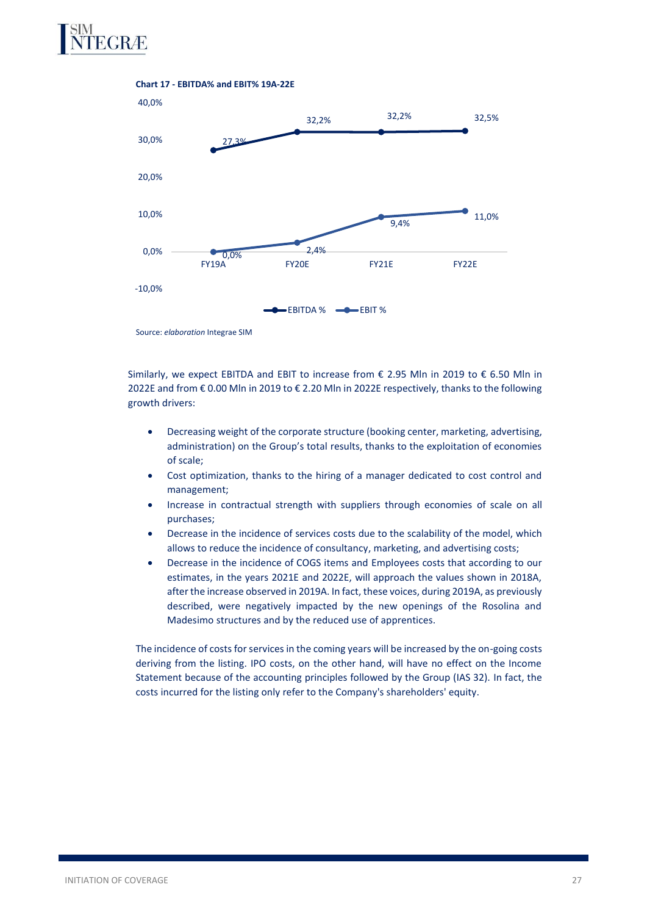



Source: *elaboration* Integrae SIM

Similarly, we expect EBITDA and EBIT to increase from € 2.95 Mln in 2019 to € 6.50 Mln in 2022E and from € 0.00 Mln in 2019 to € 2.20 Mln in 2022E respectively, thanks to the following growth drivers:

- Decreasing weight of the corporate structure (booking center, marketing, advertising, administration) on the Group's total results, thanks to the exploitation of economies of scale;
- Cost optimization, thanks to the hiring of a manager dedicated to cost control and management;
- Increase in contractual strength with suppliers through economies of scale on all purchases;
- Decrease in the incidence of services costs due to the scalability of the model, which allows to reduce the incidence of consultancy, marketing, and advertising costs;
- Decrease in the incidence of COGS items and Employees costs that according to our estimates, in the years 2021E and 2022E, will approach the values shown in 2018A, after the increase observed in 2019A. In fact, these voices, during 2019A, as previously described, were negatively impacted by the new openings of the Rosolina and Madesimo structures and by the reduced use of apprentices.

The incidence of costs for services in the coming years will be increased by the on-going costs deriving from the listing. IPO costs, on the other hand, will have no effect on the Income Statement because of the accounting principles followed by the Group (IAS 32). In fact, the costs incurred for the listing only refer to the Company's shareholders' equity.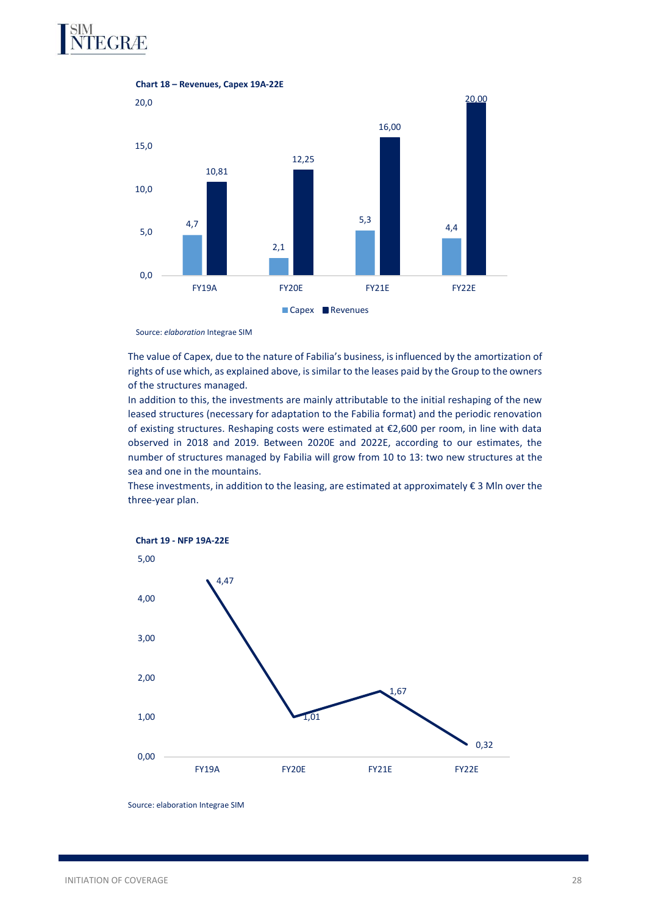



Source: *elaboration* Integrae SIM

The value of Capex, due to the nature of Fabilia's business, is influenced by the amortization of rights of use which, as explained above, is similar to the leases paid by the Group to the owners of the structures managed.

In addition to this, the investments are mainly attributable to the initial reshaping of the new leased structures (necessary for adaptation to the Fabilia format) and the periodic renovation of existing structures. Reshaping costs were estimated at €2,600 per room, in line with data observed in 2018 and 2019. Between 2020E and 2022E, according to our estimates, the number of structures managed by Fabilia will grow from 10 to 13: two new structures at the sea and one in the mountains.

These investments, in addition to the leasing, are estimated at approximately  $\epsilon$  3 Mln over the three-year plan.



Source: elaboration Integrae SIM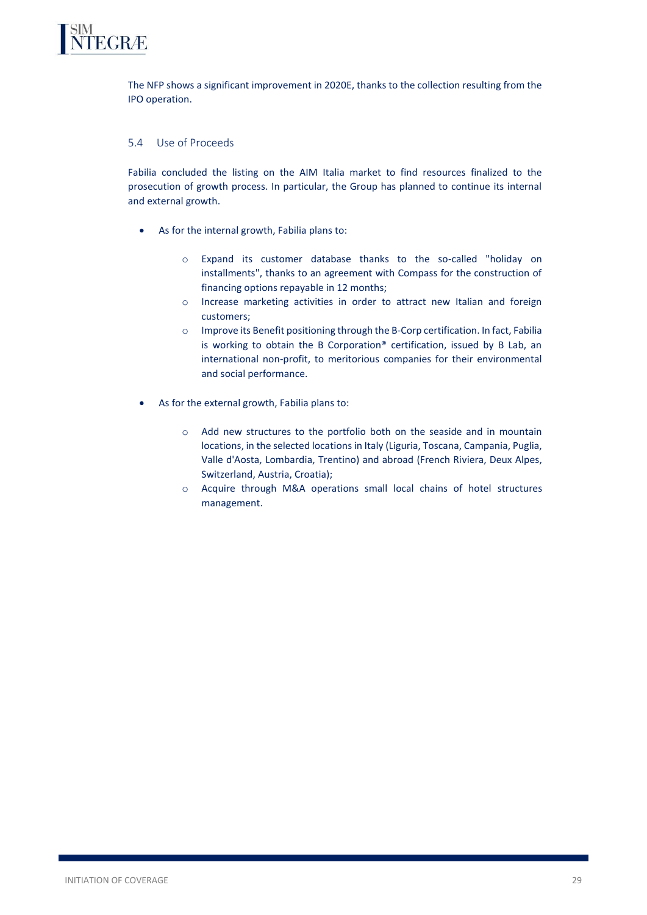

The NFP shows a significant improvement in 2020E, thanks to the collection resulting from the IPO operation.

# 5.4 Use of Proceeds

Fabilia concluded the listing on the AIM Italia market to find resources finalized to the prosecution of growth process. In particular, the Group has planned to continue its internal and external growth.

- As for the internal growth, Fabilia plans to:
	- o Expand its customer database thanks to the so-called "holiday on installments", thanks to an agreement with Compass for the construction of financing options repayable in 12 months;
	- o Increase marketing activities in order to attract new Italian and foreign customers;
	- o Improve its Benefit positioning through the B-Corp certification. In fact, Fabilia is working to obtain the B Corporation® certification, issued by B Lab, an international non-profit, to meritorious companies for their environmental and social performance.
- As for the external growth, Fabilia plans to:
	- o Add new structures to the portfolio both on the seaside and in mountain locations, in the selected locations in Italy (Liguria, Toscana, Campania, Puglia, Valle d'Aosta, Lombardia, Trentino) and abroad (French Riviera, Deux Alpes, Switzerland, Austria, Croatia);
	- o Acquire through M&A operations small local chains of hotel structures management.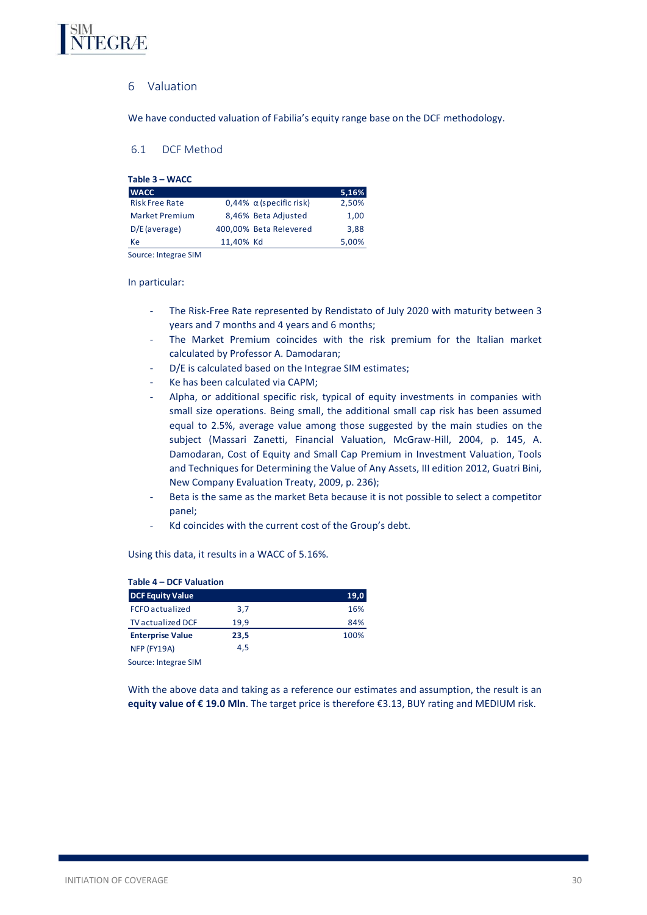<span id="page-29-0"></span>

# 6 Valuation

We have conducted valuation of Fabilia's equity range base on the DCF methodology.

# <span id="page-29-1"></span>6.1 DCF Method

| Table 3 – WACC        |           |                                   |       |
|-----------------------|-----------|-----------------------------------|-------|
| <b>WACC</b>           |           |                                   | 5,16% |
| <b>Risk Free Rate</b> |           | $0,44\%$ $\alpha$ (specific risk) | 2,50% |
| <b>Market Premium</b> |           | 8,46% Beta Adjusted               | 1,00  |
| $D/E$ (average)       |           | 400,00% Beta Relevered            | 3,88  |
| Ke                    | 11,40% Kd |                                   | 5,00% |

Source: Integrae SIM

#### In particular:

- The Risk-Free Rate represented by Rendistato of July 2020 with maturity between 3 years and 7 months and 4 years and 6 months;
- The Market Premium coincides with the risk premium for the Italian market calculated by Professor A. Damodaran;
- D/E is calculated based on the Integrae SIM estimates;
- Ke has been calculated via CAPM;
- Alpha, or additional specific risk, typical of equity investments in companies with small size operations. Being small, the additional small cap risk has been assumed equal to 2.5%, average value among those suggested by the main studies on the subject (Massari Zanetti, Financial Valuation, McGraw-Hill, 2004, p. 145, A. Damodaran, Cost of Equity and Small Cap Premium in Investment Valuation, Tools and Techniques for Determining the Value of Any Assets, III edition 2012, Guatri Bini, New Company Evaluation Treaty, 2009, p. 236);
- Beta is the same as the market Beta because it is not possible to select a competitor panel;
- Kd coincides with the current cost of the Group's debt.

#### Using this data, it results in a WACC of 5.16%.

| Table 4 – DCF Valuation<br><b>DCF Equity Value</b> |      | 19,0 |
|----------------------------------------------------|------|------|
| <b>FCFO</b> actualized                             | 3,7  | 16%  |
| <b>TV</b> actualized DCF                           | 19.9 | 84%  |
| <b>Enterprise Value</b>                            | 23,5 | 100% |
| NFP (FY19A)                                        | 4.5  |      |
| Source: Integrae SIM                               |      |      |

With the above data and taking as a reference our estimates and assumption, the result is an **equity value of € 19.0 Mln**. The target price is therefore €3.13, BUY rating and MEDIUM risk.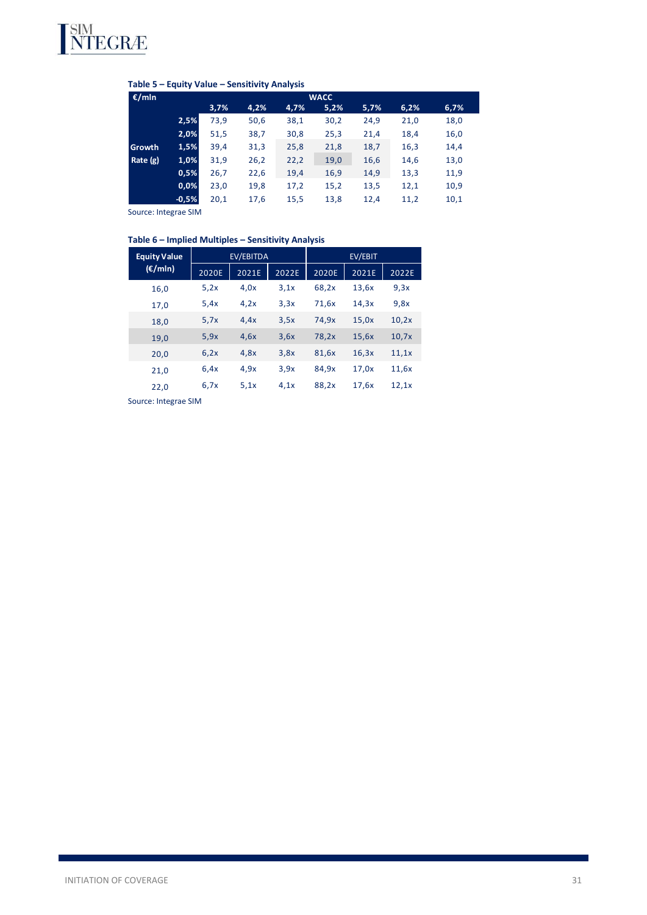

| €/mln      | Table 5 – Equity Value – Sensitivity Analysis<br><b>WACC</b> |      |      |      |      |      |      |      |
|------------|--------------------------------------------------------------|------|------|------|------|------|------|------|
|            |                                                              | 3,7% | 4,2% | 4,7% | 5,2% | 5,7% | 6,2% | 6,7% |
|            | 2,5%                                                         | 73,9 | 50,6 | 38,1 | 30,2 | 24,9 | 21,0 | 18,0 |
|            | 2,0%                                                         | 51,5 | 38,7 | 30,8 | 25,3 | 21,4 | 18,4 | 16,0 |
| Growth     | 1,5%                                                         | 39,4 | 31,3 | 25,8 | 21,8 | 18,7 | 16,3 | 14,4 |
| Rate $(g)$ | 1,0%                                                         | 31,9 | 26,2 | 22,2 | 19,0 | 16,6 | 14,6 | 13,0 |
|            | 0,5%                                                         | 26,7 | 22,6 | 19,4 | 16,9 | 14,9 | 13,3 | 11,9 |
|            | 0,0%                                                         | 23,0 | 19,8 | 17,2 | 15,2 | 13,5 | 12,1 | 10,9 |
|            | $-0,5%$                                                      | 20,1 | 17,6 | 15,5 | 13,8 | 12,4 | 11,2 | 10,1 |

Source: Integrae SIM

# **Table 6 – Implied Multiples – Sensitivity Analysis**

| <b>Equity Value</b> | EV/EBITDA |       |       | EV/EBIT |       |       |
|---------------------|-----------|-------|-------|---------|-------|-------|
| $(\epsilon/mln)$    | 2020E     | 2021E | 2022E | 2020E   | 2021E | 2022E |
| 16,0                | 5,2x      | 4.0x  | 3.1x  | 68,2x   | 13,6x | 9,3x  |
| 17,0                | 5.4x      | 4,2x  | 3,3x  | 71,6x   | 14,3x | 9,8x  |
| 18,0                | 5,7x      | 4.4x  | 3,5x  | 74,9x   | 15,0x | 10,2x |
| 19,0                | 5,9x      | 4.6x  | 3,6x  | 78,2x   | 15,6x | 10,7x |
| 20,0                | 6,2x      | 4.8x  | 3,8x  | 81,6x   | 16,3x | 11,1x |
| 21,0                | 6.4x      | 4.9x  | 3.9x  | 84,9x   | 17,0x | 11,6x |
| 22,0                | 6,7x      | 5.1x  | 4.1x  | 88,2x   | 17,6x | 12,1x |

Source: Integrae SIM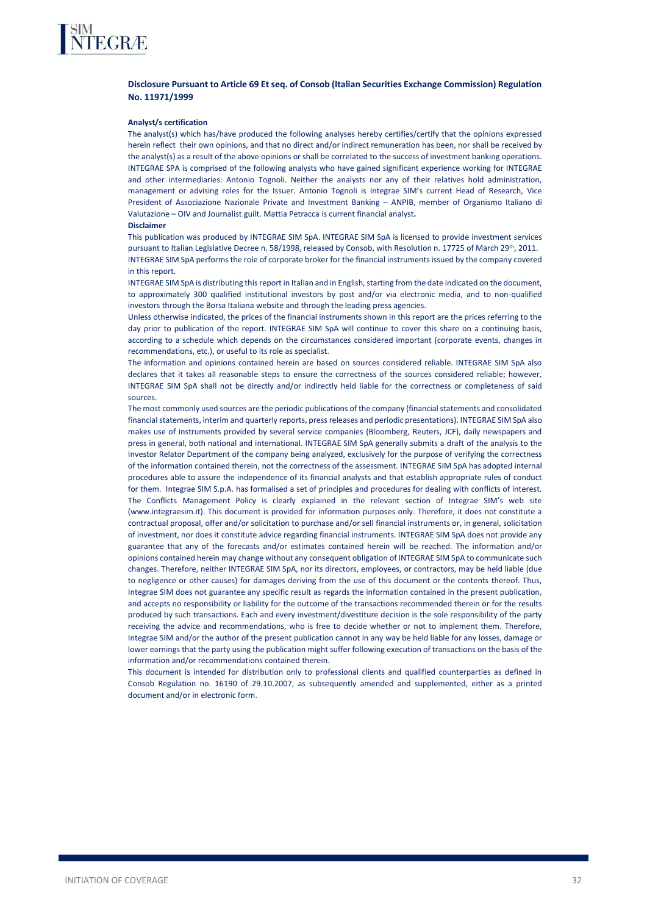

#### **Disclosure Pursuant to Article 69 Et seq. of Consob (Italian Securities Exchange Commission) Regulation No. 11971/1999**

#### **Analyst/s certification**

The analyst(s) which has/have produced the following analyses hereby certifies/certify that the opinions expressed herein reflect their own opinions, and that no direct and/or indirect remuneration has been, nor shall be received by the analyst(s) as a result of the above opinions or shall be correlated to the success of investment banking operations. INTEGRAE SPA is comprised of the following analysts who have gained significant experience working for INTEGRAE and other intermediaries: Antonio Tognoli. Neither the analysts nor any of their relatives hold administration, management or advising roles for the Issuer. Antonio Tognoli is Integrae SIM's current Head of Research, Vice President of Associazione Nazionale Private and Investment Banking – ANPIB, member of Organismo Italiano di Valutazione – OIV and Journalist guilt. Mattia Petracca is current financial analyst**.**

#### **Disclaimer**

This publication was produced by INTEGRAE SIM SpA. INTEGRAE SIM SpA is licensed to provide investment services pursuant to Italian Legislative Decree n. 58/1998, released by Consob, with Resolution n. 17725 of March 29<sup>th</sup>, 2011. INTEGRAE SIM SpA performs the role of corporate broker for the financial instruments issued by the company covered in this report.

INTEGRAE SIM SpA is distributing this report in Italian and in English, starting from the date indicated on the document, to approximately 300 qualified institutional investors by post and/or via electronic media, and to non-qualified investors through the Borsa Italiana website and through the leading press agencies.

Unless otherwise indicated, the prices of the financial instruments shown in this report are the prices referring to the day prior to publication of the report. INTEGRAE SIM SpA will continue to cover this share on a continuing basis, according to a schedule which depends on the circumstances considered important (corporate events, changes in recommendations, etc.), or useful to its role as specialist.

The information and opinions contained herein are based on sources considered reliable. INTEGRAE SIM SpA also declares that it takes all reasonable steps to ensure the correctness of the sources considered reliable; however, INTEGRAE SIM SpA shall not be directly and/or indirectly held liable for the correctness or completeness of said sources.

The most commonly used sources are the periodic publications of the company (financial statements and consolidated financial statements, interim and quarterly reports, press releases and periodic presentations). INTEGRAE SIM SpA also makes use of instruments provided by several service companies (Bloomberg, Reuters, JCF), daily newspapers and press in general, both national and international. INTEGRAE SIM SpA generally submits a draft of the analysis to the Investor Relator Department of the company being analyzed, exclusively for the purpose of verifying the correctness of the information contained therein, not the correctness of the assessment. INTEGRAE SIM SpA has adopted internal procedures able to assure the independence of its financial analysts and that establish appropriate rules of conduct for them. Integrae SIM S.p.A. has formalised a set of principles and procedures for dealing with conflicts of interest. The Conflicts Management Policy is clearly explained in the relevant section of Integrae SIM's web site (www.integraesim.it). This document is provided for information purposes only. Therefore, it does not constitute a contractual proposal, offer and/or solicitation to purchase and/or sell financial instruments or, in general, solicitation of investment, nor does it constitute advice regarding financial instruments. INTEGRAE SIM SpA does not provide any guarantee that any of the forecasts and/or estimates contained herein will be reached. The information and/or opinions contained herein may change without any consequent obligation of INTEGRAE SIM SpA to communicate such changes. Therefore, neither INTEGRAE SIM SpA, nor its directors, employees, or contractors, may be held liable (due to negligence or other causes) for damages deriving from the use of this document or the contents thereof. Thus, Integrae SIM does not guarantee any specific result as regards the information contained in the present publication, and accepts no responsibility or liability for the outcome of the transactions recommended therein or for the results produced by such transactions. Each and every investment/divestiture decision is the sole responsibility of the party receiving the advice and recommendations, who is free to decide whether or not to implement them. Therefore, Integrae SIM and/or the author of the present publication cannot in any way be held liable for any losses, damage or lower earnings that the party using the publication might suffer following execution of transactions on the basis of the information and/or recommendations contained therein.

This document is intended for distribution only to professional clients and qualified counterparties as defined in Consob Regulation no. 16190 of 29.10.2007, as subsequently amended and supplemented, either as a printed document and/or in electronic form.